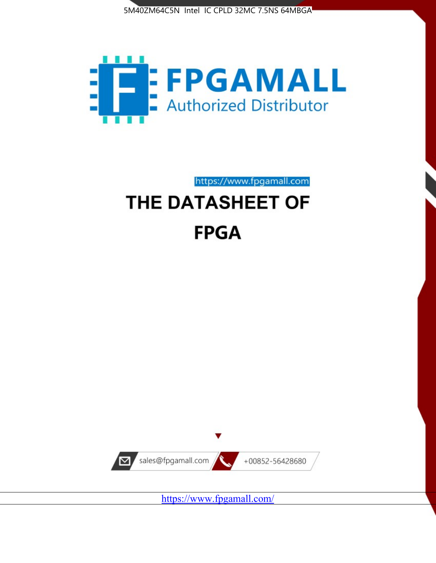



https://www.fpgamall.com

# THE DATASHEET OF **FPGA**



<https://www.fpgamall.com/>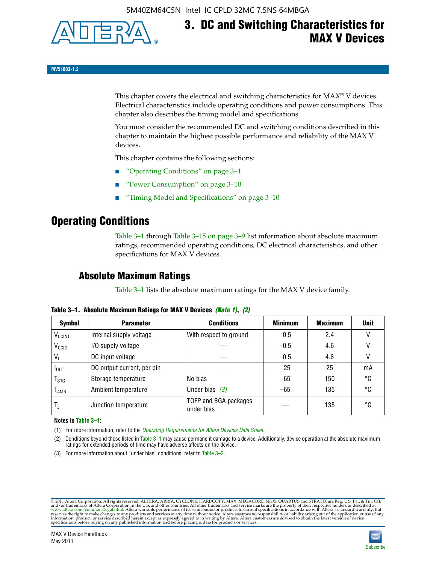

# **3. DC and Switching Characteristics for MAX V Devices**

**MV51003-1.2**

This chapter covers the electrical and switching characteristics for  $MAX^{\circ}$  V devices. Electrical characteristics include operating conditions and power consumptions. This chapter also describes the timing model and specifications.

You must consider the recommended DC and switching conditions described in this chapter to maintain the highest possible performance and reliability of the MAX V devices.

This chapter contains the following sections:

- "Operating Conditions" on page 3–1
- "Power Consumption" on page 3–10
- "Timing Model and Specifications" on page 3–10

### **Operating Conditions**

Table 3–1 through Table 3–15 on page 3–9 list information about absolute maximum ratings, recommended operating conditions, DC electrical characteristics, and other specifications for MAX V devices.

### **Absolute Maximum Ratings**

Table 3–1 lists the absolute maximum ratings for the MAX V device family.

| <b>Symbol</b>               | <b>Parameter</b>           | <b>Conditions</b>                   | <b>Minimum</b> | <b>Maximum</b> | <b>Unit</b> |
|-----------------------------|----------------------------|-------------------------------------|----------------|----------------|-------------|
| V <sub>CCINT</sub>          | Internal supply voltage    | With respect to ground              | $-0.5$         | 2.4            |             |
| V <sub>CCIO</sub>           | I/O supply voltage         |                                     | $-0.5$         | 4.6            |             |
| $V_1$                       | DC input voltage           |                                     | $-0.5$         | 4.6            |             |
| $I_{\text{OUT}}$            | DC output current, per pin |                                     | $-25$          | 25             | mA          |
| $\mathsf{T}_{\textsf{STG}}$ | Storage temperature        | No bias                             | $-65$          | 150            | °C          |
| $T_{AMB}$                   | Ambient temperature        | Under bias $(3)$                    | $-65$          | 135            | °C          |
| $T_{\text{J}}$              | Junction temperature       | TQFP and BGA packages<br>under bias |                | 135            | ۰c          |

**Table 3–1. Absolute Maximum Ratings for MAX V Devices** *(Note 1)***,** *(2)*

**Notes to Table 3–1:**

(1) For more information, refer to the *[Operating Requirements for Altera Devices Data Sheet](http://www.altera.com/literature/ds/dsoprq.pdf)*.

(2) Conditions beyond those listed in Table 3–1 may cause permanent damage to a device. Additionally, device operation at the absolute maximum ratings for extended periods of time may have adverse affects on the device.

(3) For more information about "under bias" conditions, refer to Table 3–2.

@2011 Altera Corporation. All rights reserved. ALTERA, ARRIA, CYCLONE, HARDCOPY, MAX, MEGACORE, NIOS, QUARTUS and STRATIX are Reg. U.S. Pat. & Tm. Off. [and/or trademarks of Altera Corporat](http://www.altera.com/common/legal.html)ion in the U.S. and other countrie

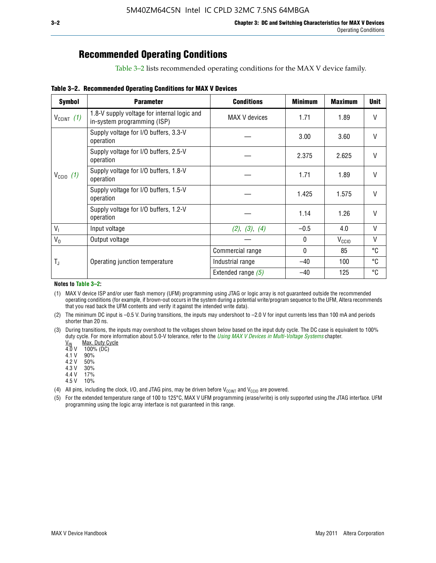## **Recommended Operating Conditions**

Table 3–2 lists recommended operating conditions for the MAX V device family.

**Table 3–2. Recommended Operating Conditions for MAX V Devices**

| <b>Symbol</b>        | <b>Parameter</b>                                                           | <b>Conditions</b>    | <b>Minimum</b> | <b>Maximum</b>    | <b>Unit</b>  |
|----------------------|----------------------------------------------------------------------------|----------------------|----------------|-------------------|--------------|
| $V_{CClNT}$ (1)      | 1.8-V supply voltage for internal logic and<br>in-system programming (ISP) | MAX V devices        | 1.71           | 1.89              | $\mathsf{V}$ |
|                      | Supply voltage for I/O buffers, 3.3-V<br>operation                         |                      | 3.00           | 3.60              | $\mathsf{V}$ |
|                      | Supply voltage for I/O buffers, 2.5-V<br>operation                         |                      | 2.375          | 2.625             | $\mathsf{V}$ |
| $V_{\text{CCIO}}(1)$ | Supply voltage for I/O buffers, 1.8-V<br>operation                         |                      | 1.71           | 1.89              | $\mathsf{V}$ |
|                      | Supply voltage for I/O buffers, 1.5-V<br>operation                         |                      | 1.425          | 1.575             | $\mathsf{V}$ |
|                      | Supply voltage for I/O buffers, 1.2-V<br>operation                         |                      | 1.14           | 1.26              | V            |
| $V_{1}$              | Input voltage                                                              | (2), (3), (4)        | $-0.5$         | 4.0               | V            |
| $V_0$                | Output voltage                                                             |                      | 0              | V <sub>CCIO</sub> | V            |
|                      |                                                                            | Commercial range     | 0              | 85                | °C           |
| T,                   | Operating junction temperature                                             | Industrial range     | $-40$          | 100               | °C           |
|                      |                                                                            | Extended range $(5)$ | $-40$          | 125               | °C           |

#### **Notes to Table 3–2:**

(1) MAX V device ISP and/or user flash memory (UFM) programming using JTAG or logic array is not guaranteed outside the recommended operating conditions (for example, if brown-out occurs in the system during a potential write/program sequence to the UFM, Altera recommends that you read back the UFM contents and verify it against the intended write data).

(2) The minimum DC input is –0.5 V. During transitions, the inputs may undershoot to –2.0 V for input currents less than 100 mA and periods shorter than 20 ns.

(3) During transitions, the inputs may overshoot to the voltages shown below based on the input duty cycle. The DC case is equivalent to 100% duty cycle. For more information about 5.0-V tolerance, refer to the *Using MAX V Devices in Multi-Voltage Systems* chapter.<br>
<u>V<sub>IN</sub> Max. Duty Cycle</u><br>
4.0 V 100% (DC)

Max. Duty Cycle

 $100\%$  (DC)<br>90%

 $4.1 V$ 

4.2 V 50%

4.3 V 30%<br>4.4 V 17%

4.4 V 4.5 V 10%

(4) All pins, including the clock, I/O, and JTAG pins, may be driven before  $V_{C C I N T}$  and  $V_{C C I O}$  are powered.

(5) For the extended temperature range of 100 to 125°C, MAX V UFM programming (erase/write) is only supported using the JTAG interface. UFM programming using the logic array interface is not guaranteed in this range.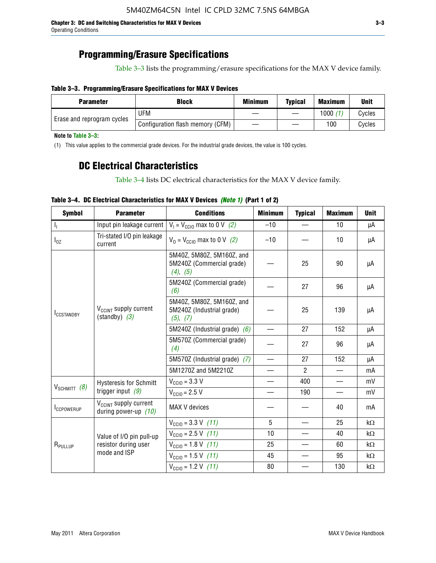### **Programming/Erasure Specifications**

Table 3–3 lists the programming/erasure specifications for the MAX V device family.

#### **Table 3–3. Programming/Erasure Specifications for MAX V Devices**

| <b>Block</b><br><b>Parameter</b> |                                  | <b>Minimum</b> | <b>Typical</b> | <b>Maximum</b> | <b>Unit</b> |
|----------------------------------|----------------------------------|----------------|----------------|----------------|-------------|
|                                  | UFM                              |                |                | 1000           | Cycles      |
| Erase and reprogram cycles       | Configuration flash memory (CFM) |                |                | 100            | Cvcles      |

**Note to Table 3–3:**

(1) This value applies to the commercial grade devices. For the industrial grade devices, the value is 100 cycles.

### **DC Electrical Characteristics**

Table 3–4 lists DC electrical characteristics for the MAX V device family.

| <b>Symbol</b>       | <b>Parameter</b>                                            | <b>Conditions</b>                                                  | <b>Minimum</b>           | <b>Typical</b> | <b>Maximum</b>           | <b>Unit</b> |
|---------------------|-------------------------------------------------------------|--------------------------------------------------------------------|--------------------------|----------------|--------------------------|-------------|
| Т,                  | Input pin leakage current                                   | $V_1 = V_{\text{CC10}}$ max to 0 V (2)                             | $-10$                    |                | 10                       | μA          |
| $I_{0Z}$            | Tri-stated I/O pin leakage<br>current                       | $V_0 = V_{\text{CC10}}$ max to 0 V (2)                             | $-10$                    |                | 10                       | μA          |
|                     |                                                             | 5M40Z, 5M80Z, 5M160Z, and<br>5M240Z (Commercial grade)<br>(4), (5) |                          | 25             | 90                       | μA          |
|                     |                                                             | 5M240Z (Commercial grade)<br>(6)                                   |                          | 27             | 96                       | μA          |
| <b>ICCSTANDBY</b>   | V <sub>CCINT</sub> supply current<br>$(statably)$ (3)       | 5M40Z, 5M80Z, 5M160Z, and<br>5M240Z (Industrial grade)<br>(5), (7) |                          | 25             | 139                      | μA          |
|                     |                                                             | 5M240Z (Industrial grade) $(6)$                                    |                          | 27             | 152                      | μA          |
|                     |                                                             | 5M570Z (Commercial grade)<br>(4)                                   |                          | 27             | 96                       | μA          |
|                     |                                                             | 5M570Z (Industrial grade) (7)                                      |                          | 27             | 152                      | μA          |
|                     |                                                             | 5M1270Z and 5M2210Z                                                | $\overline{\phantom{0}}$ | $\mathcal{P}$  |                          | mA          |
|                     | <b>Hysteresis for Schmitt</b>                               | $V_{\text{CC10}} = 3.3 \text{ V}$                                  | $\qquad \qquad$          | 400            | $\overline{\phantom{0}}$ | mV          |
| $V_{SCHMIT}$ (8)    | trigger input $(9)$                                         | $V_{\text{CC10}} = 2.5 V$                                          |                          | 190            |                          | mV          |
| <b>ICCPOWERUP</b>   | V <sub>CCINT</sub> supply current<br>during power-up $(10)$ | MAX V devices                                                      |                          |                | 40                       | mA          |
|                     |                                                             | $V_{\text{CC10}} = 3.3 \text{ V} (11)$                             | 5                        |                | 25                       | kΩ          |
|                     | Value of I/O pin pull-up                                    | $V_{\text{CGI0}} = 2.5 \text{ V}$ (11)                             | 10                       |                | 40                       | kΩ          |
| R <sub>PULLUP</sub> | resistor during user                                        | $V_{\text{CC10}} = 1.8 \text{ V} (11)$                             | 25                       |                | 60                       | kΩ          |
|                     | mode and ISP                                                | $V_{\text{CC10}} = 1.5 \text{ V} (11)$                             | 45                       |                | 95                       | kΩ          |
|                     |                                                             | $V_{\text{CC10}} = 1.2 \text{ V} (11)$                             | 80                       |                | 130                      | kΩ          |

### **Table 3–4. DC Electrical Characteristics for MAX V Devices** *(Note 1)* **(Part 1 of 2)**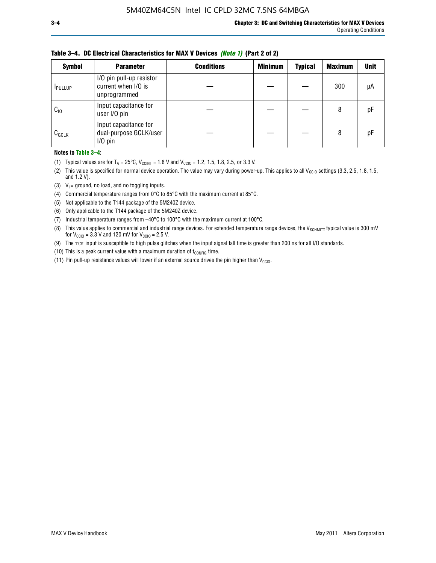| <b>Symbol</b> | <b>Parameter</b>                                                | <b>Conditions</b> | <b>Minimum</b> | <b>Typical</b> | <b>Maximum</b> | <b>Unit</b> |
|---------------|-----------------------------------------------------------------|-------------------|----------------|----------------|----------------|-------------|
| <b>PULLUP</b> | I/O pin pull-up resistor<br>current when I/O is<br>unprogrammed |                   |                |                | 300            | μA          |
| $C_{10}$      | Input capacitance for<br>user I/O pin                           |                   |                |                | 8              | рF          |
| $C_{GCLK}$    | Input capacitance for<br>dual-purpose GCLK/user<br>$I/O$ pin    |                   |                |                | 8              | рF          |

**Table 3–4. DC Electrical Characteristics for MAX V Devices** *(Note 1)* **(Part 2 of 2)**

**Notes to Table 3–4:**

- (1) Typical values are for  $T_A = 25^{\circ}\text{C}$ ,  $V_{\text{CCINT}} = 1.8 \text{ V}$  and  $V_{\text{CCIO}} = 1.2, 1.5, 1.8, 2.5,$  or 3.3 V.
- (2) This value is specified for normal device operation. The value may vary during power-up. This applies to all V<sub>CCIO</sub> settings (3.3, 2.5, 1.8, 1.5, and 1.2 V).
- (3)  $V_1$  = ground, no load, and no toggling inputs.
- (4) Commercial temperature ranges from 0°C to 85°C with the maximum current at 85°C.
- (5) Not applicable to the T144 package of the 5M240Z device.
- (6) Only applicable to the T144 package of the 5M240Z device.
- (7) Industrial temperature ranges from –40°C to 100°C with the maximum current at 100°C.
- (8) This value applies to commercial and industrial range devices. For extended temperature range devices, the  $V_{SCHMIT}$  typical value is 300 mV for  $V_{\text{CCIO}} = 3.3$  V and 120 mV for  $V_{\text{CCIO}} = 2.5$  V.
- (9) The TCK input is susceptible to high pulse glitches when the input signal fall time is greater than 200 ns for all I/O standards.
- (10) This is a peak current value with a maximum duration of  $t_{\text{CONFIG}}$  time.
- (11) Pin pull-up resistance values will lower if an external source drives the pin higher than  $V_{\text{CCIO}}$ .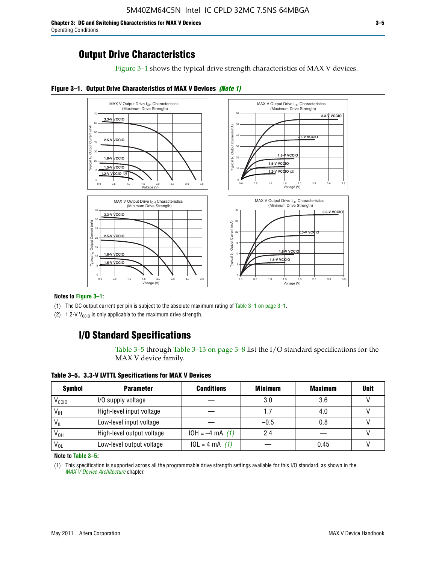**Chapter 3: DC and Switching Characteristics for MAX V Devices 3–5** Operating Conditions

Figure 3–1 shows the typical drive strength characteristics of MAX V devices.





#### **Notes to Figure 3–1:**

(1) The DC output current per pin is subject to the absolute maximum rating of Table 3–1 on page 3–1.

(2) 1.2-V V<sub>CCIO</sub> is only applicable to the maximum drive strength.

### **I/O Standard Specifications**

Table 3–5 through Table 3–13 on page 3–8 list the I/O standard specifications for the MAX V device family.

**Table 3–5. 3.3-V LVTTL Specifications for MAX V Devices**

| <b>Symbol</b>     | <b>Parameter</b>          | <b>Conditions</b> | <b>Minimum</b> | <b>Maximum</b> | <b>Unit</b> |
|-------------------|---------------------------|-------------------|----------------|----------------|-------------|
| V <sub>ccio</sub> | I/O supply voltage        |                   | 3.0            | 3.6            |             |
| $V_{IH}$          | High-level input voltage  |                   | 1.7            | 4.0            |             |
| $V_{IL}$          | Low-level input voltage   |                   | $-0.5$         | 0.8            |             |
| V <sub>он</sub>   | High-level output voltage | $10H = -4 mA$ (1) | 2.4            |                |             |
| $V_{OL}$          | Low-level output voltage  | $10L = 4 mA$ (1)  |                | 0.45           |             |

**Note to Table 3–5:**

(1) This specification is supported across all the programmable drive strength settings available for this I/O standard, as shown in the *[MAX V Device Architecture](http://www.altera.com/literature/hb/max-v/mv51002.pdf)* chapter.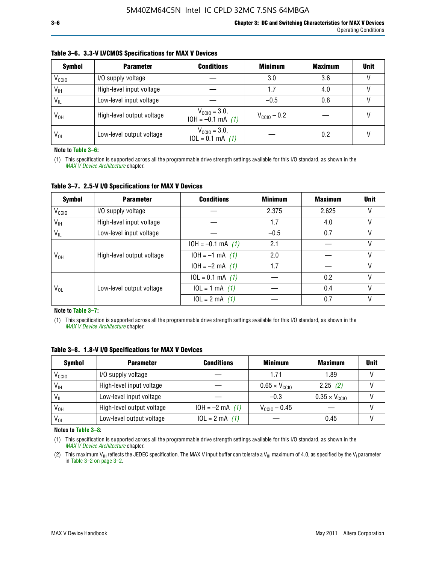| <b>Symbol</b>     | <b>Parameter</b>          | <b>Conditions</b>                                 | <b>Minimum</b>          | <b>Maximum</b> | <b>Unit</b> |
|-------------------|---------------------------|---------------------------------------------------|-------------------------|----------------|-------------|
| V <sub>CCIO</sub> | I/O supply voltage        |                                                   | 3.0                     | 3.6            |             |
| $V_{IH}$          | High-level input voltage  |                                                   | 1.7                     | 4.0            |             |
| $V_{IL}$          | Low-level input voltage   |                                                   | $-0.5$                  | 0.8            |             |
| $V_{OH}$          | High-level output voltage | $V_{\text{CC10}} = 3.0,$<br>$10H = -0.1$ mA $(1)$ | $V_{\text{CC10}} - 0.2$ |                |             |
| $V_{OL}$          | Low-level output voltage  | $V_{\text{CC10}} = 3.0,$<br>$10L = 0.1$ mA $(1)$  |                         | 0.2            |             |

#### **Table 3–6. 3.3-V LVCMOS Specifications for MAX V Devices**

**Note to Table 3–6:**

(1) This specification is supported across all the programmable drive strength settings available for this I/O standard, as shown in the *[MAX V Device Architecture](http://www.altera.com/literature/hb/max-v/mv51002.pdf)* chapter.

**Table 3–7. 2.5-V I/O Specifications for MAX V Devices**

| <b>Symbol</b>     | <b>Parameter</b>          | <b>Conditions</b>     | <b>Minimum</b> | <b>Maximum</b> | <b>Unit</b> |
|-------------------|---------------------------|-----------------------|----------------|----------------|-------------|
| V <sub>CCIO</sub> | I/O supply voltage        |                       | 2.375          | 2.625          |             |
| $V_{\text{IH}}$   | High-level input voltage  |                       | 1.7            | 4.0            | V           |
| $V_{IL}$          | Low-level input voltage   |                       | $-0.5$         | 0.7            |             |
|                   | High-level output voltage | $10H = -0.1$ mA $(1)$ | 2.1            |                |             |
| V <sub>он</sub>   |                           | $10H = -1$ mA $(1)$   | 2.0            |                |             |
|                   |                           | $10H = -2 mA$ (1)     | 1.7            |                | V           |
|                   |                           | $10L = 0.1$ mA $(1)$  |                | 0.2            |             |
| V <sub>OL</sub>   | Low-level output voltage  | $10L = 1 mA$ (1)      |                | 0.4            |             |
|                   |                           | $10L = 2 mA$ (1)      |                | 0.7            |             |

**Note to Table 3–7:**

(1) This specification is supported across all the programmable drive strength settings available for this I/O standard, as shown in the *[MAX V Device Architecture](http://www.altera.com/literature/hb/max-v/mv51002.pdf)* chapter.

| <b>Symbol</b>     | <b>Parameter</b>          | <b>Conditions</b> | <b>Minimum</b>                | <b>Maximum</b>                | <b>Unit</b> |
|-------------------|---------------------------|-------------------|-------------------------------|-------------------------------|-------------|
| V <sub>ccio</sub> | I/O supply voltage        |                   | 1.71                          | 1.89                          |             |
| $V_{\text{IH}}$   | High-level input voltage  |                   | $0.65 \times V_{\text{CGI0}}$ | 2.25(2)                       |             |
| $V_{IL}$          | Low-level input voltage   |                   | $-0.3$                        | $0.35 \times V_{\text{CC10}}$ |             |
| V <sub>он</sub>   | High-level output voltage | $10H = -2 mA$ (1) | $V_{\text{CCI0}} - 0.45$      |                               |             |
| $V_{OL}$          | Low-level output voltage  | $10L = 2 mA$ (1)  |                               | 0.45                          |             |

**Table 3–8. 1.8-V I/O Specifications for MAX V Devices**

**Notes to Table 3–8:**

(1) This specification is supported across all the programmable drive strength settings available for this I/O standard, as shown in the *[MAX V Device Architecture](http://www.altera.com/literature/hb/max-v/mv51002.pdf)* chapter.

(2) This maximum V<sub>IH</sub> reflects the JEDEC specification. The MAX V input buffer can tolerate a V<sub>IH</sub> maximum of 4.0, as specified by the V<sub>I</sub> parameter in Table 3–2 on page 3–2.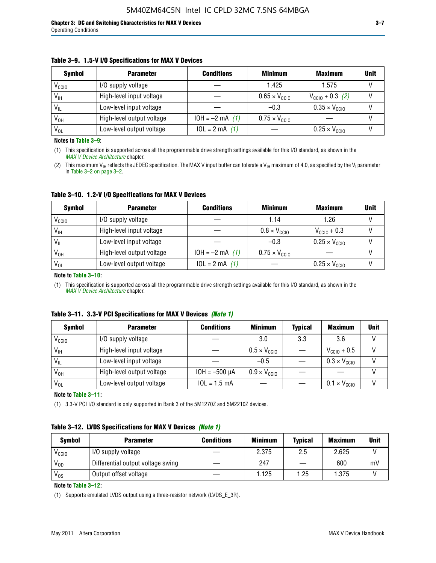#### **Table 3–9. 1.5-V I/O Specifications for MAX V Devices**

| <b>Symbol</b>     | <b>Parameter</b>          | <b>Conditions</b> | <b>Minimum</b>                | <b>Maximum</b>                | <b>Unit</b> |
|-------------------|---------------------------|-------------------|-------------------------------|-------------------------------|-------------|
| V <sub>CCIO</sub> | I/O supply voltage        |                   | 1.425                         | 1.575                         |             |
| $V_{IH}$          | High-level input voltage  |                   | $0.65 \times V_{\text{CC10}}$ | $V_{\text{CGI0}} + 0.3$ (2)   |             |
| $V_{IL}$          | Low-level input voltage   |                   | $-0.3$                        | $0.35 \times V_{\text{CC10}}$ |             |
| V <sub>он</sub>   | High-level output voltage | $10H = -2 mA$ (1) | $0.75 \times V_{\text{CC10}}$ |                               |             |
| $V_{OL}$          | Low-level output voltage  | $10L = 2 mA$ (1)  |                               | $0.25 \times V_{\text{CGI0}}$ |             |

**Notes to Table 3–9:**

(1) This specification is supported across all the programmable drive strength settings available for this I/O standard, as shown in the *[MAX V Device Architecture](http://www.altera.com/literature/hb/max-v/mv51002.pdf)* chapter.

(2) This maximum V<sub>IH</sub> reflects the JEDEC specification. The MAX V input buffer can tolerate a V<sub>IH</sub> maximum of 4.0, as specified by the V<sub>I</sub> parameter in Table 3–2 on page 3–2.

**Table 3–10. 1.2-V I/O Specifications for MAX V Devices**

| <b>Symbol</b>     | <b>Parameter</b>          | <b>Conditions</b> | <b>Minimum</b>               | <b>Maximum</b>                | <b>Unit</b> |
|-------------------|---------------------------|-------------------|------------------------------|-------------------------------|-------------|
| V <sub>CCIO</sub> | I/O supply voltage        |                   | 1.14                         | 1.26                          |             |
| $V_{IH}$          | High-level input voltage  |                   | $0.8 \times V_{\text{CCIO}}$ | $V_{\text{CC10}} + 0.3$       |             |
| $V_{IL}$          | Low-level input voltage   |                   | $-0.3$                       | $0.25 \times V_{\text{CCIO}}$ |             |
| V <sub>OH</sub>   | High-level output voltage | $10H = -2 mA$ (1) | $0.75 \times V_{\text{CCI}}$ |                               |             |
| $V_{OL}$          | Low-level output voltage  | $10L = 2 mA$ (1)  |                              | $0.25 \times V_{\text{CGI0}}$ |             |

#### **Note to Table 3–10:**

(1) This specification is supported across all the programmable drive strength settings available for this I/O standard, as shown in the *[MAX V Device Architecture](http://www.altera.com/literature/hb/max-v/mv51002.pdf)* chapter.

|  |  | Table 3–11. 3.3-V PCI Specifications for MAX V Devices (Note 1) |  |  |  |  |
|--|--|-----------------------------------------------------------------|--|--|--|--|
|--|--|-----------------------------------------------------------------|--|--|--|--|

| <b>Symbol</b>     | <b>Parameter</b>          | <b>Conditions</b>  | <b>Minimum</b>               | <b>Typical</b> | <b>Maximum</b>               | <b>Unit</b> |
|-------------------|---------------------------|--------------------|------------------------------|----------------|------------------------------|-------------|
| V <sub>CCIO</sub> | I/O supply voltage        |                    | 3.0                          | 3.3            | 3.6                          |             |
| $V_{\text{IH}}$   | High-level input voltage  |                    | $0.5 \times V_{\text{CCIO}}$ |                | $V_{\text{CC10}} + 0.5$      |             |
| $V_{IL}$          | Low-level input voltage   |                    | $-0.5$                       |                | $0.3 \times V_{\text{CC10}}$ |             |
| $V_{OH}$          | High-level output voltage | $10H = -500 \mu A$ | $0.9 \times V_{\text{CC10}}$ |                |                              |             |
| $V_{OL}$          | Low-level output voltage  | $10L = 1.5 mA$     |                              |                | $0.1 \times V_{\text{CC10}}$ |             |

**Note to Table 3–11:**

(1) 3.3-V PCI I/O standard is only supported in Bank 3 of the 5M1270Z and 5M2210Z devices.

#### **Table 3–12. LVDS Specifications for MAX V Devices** *(Note 1)*

| <b>Symbol</b> | <b>Parameter</b>                  | <b>Conditions</b> | <b>Minimum</b> | <b>Typical</b> | <b>Maximum</b> | Unit |
|---------------|-----------------------------------|-------------------|----------------|----------------|----------------|------|
| Vccio         | I/O supply voltage                |                   | 2.375          | 2.5            | 2.625          |      |
| $V_{OD}$      | Differential output voltage swing |                   | 247            |                | 600            | mV   |
| $V_{OS}$      | Output offset voltage             |                   | 1.125          | 1.25           | 1.375          |      |

**Note to Table 3–12:**

(1) Supports emulated LVDS output using a three-resistor network (LVDS\_E\_3R).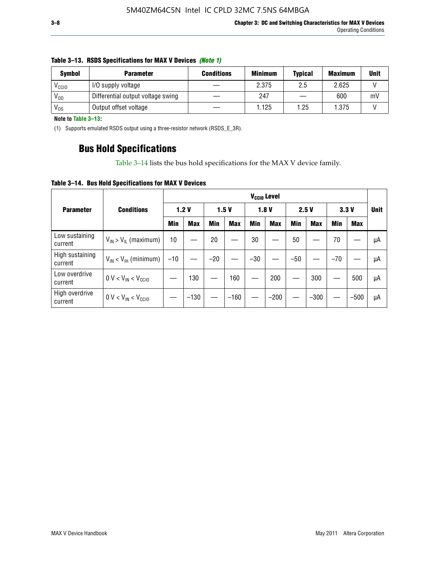| <b>Symbol</b> | <b>Parameter</b>                  | <b>Conditions</b> | <b>Minimum</b> | <b>Typical</b> | <b>Maximum</b> | <b>Unit</b> |
|---------------|-----------------------------------|-------------------|----------------|----------------|----------------|-------------|
| Vccio         | I/O supply voltage                |                   | 2.375          | 2.5            | 2.625          |             |
| $V_{OD}$      | Differential output voltage swing |                   | 247            |                | 600            | m۱          |
| $V_{OS}$      | Output offset voltage             |                   | 1.125          | 1.25           | 1.375          |             |

#### **Table 3–13. RSDS Specifications for MAX V Devices** *(Note 1)*

**Note to Table 3–13:**

(1) Supports emulated RSDS output using a three-resistor network (RSDS\_E\_3R).

### **Bus Hold Specifications**

Table 3–14 lists the bus hold specifications for the MAX V device family.

**Table 3–14. Bus Hold Specifications for MAX V Devices**

|                            |                               | V <sub>ccio</sub> Level |            |       |            |       |            |       |            |            |            |             |
|----------------------------|-------------------------------|-------------------------|------------|-------|------------|-------|------------|-------|------------|------------|------------|-------------|
| <b>Parameter</b>           | <b>Conditions</b>             |                         | 1.2V       |       | 1.5V       |       | 1.8V       | 2.5V  |            |            | 3.3V       | <b>Unit</b> |
|                            |                               | Min                     | <b>Max</b> | Min   | <b>Max</b> | Min   | <b>Max</b> | Min   | <b>Max</b> | <b>Min</b> | <b>Max</b> |             |
| Low sustaining<br>current  | $V_{IN}$ > $V_{IL}$ (maximum) | 10                      |            | 20    |            | 30    |            | 50    |            | 70         |            | μA          |
| High sustaining<br>current | $V_{IN}$ < $V_{IH}$ (minimum) | $-10$                   |            | $-20$ |            | $-30$ |            | $-50$ |            | $-70$      |            | μA          |
| Low overdrive<br>current   | $0 V < V_{IN} < V_{CC10}$     |                         | 130        |       | 160        |       | 200        |       | 300        |            | 500        | μA          |
| High overdrive<br>current  | $0 V < V_{IN} < V_{CC10}$     |                         | $-130$     |       | $-160$     |       | $-200$     |       | $-300$     |            | $-500$     | μA          |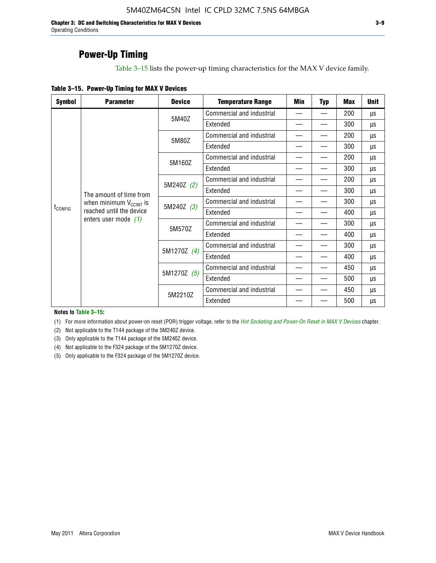**Chapter 3: DC and Switching Characteristics for MAX V Devices 3–9** Operating Conditions

### **Power-Up Timing**

Table 3–15 lists the power-up timing characteristics for the MAX V device family.

| <b>Symbol</b>           | <b>Parameter</b>              | <b>Device</b>             | <b>Temperature Range</b>  | Min                      | <b>Typ</b> | <b>Max</b> | <b>Unit</b> |
|-------------------------|-------------------------------|---------------------------|---------------------------|--------------------------|------------|------------|-------------|
|                         |                               | 5M40Z                     | Commercial and industrial | $\overline{\phantom{0}}$ |            | 200        | μs          |
|                         |                               |                           | Extended                  |                          |            | 300        | μs          |
|                         |                               | 5M80Z                     | Commercial and industrial |                          |            | 200        | μs          |
|                         |                               |                           | Extended                  |                          |            | 300        | μs          |
|                         |                               | 5M160Z                    | Commercial and industrial |                          |            | 200        | μs          |
|                         |                               |                           | Extended                  |                          |            | 300        | μs          |
| The amount of time from | 5M240Z (2)                    | Commercial and industrial |                           |                          | 200        | μs         |             |
|                         |                               |                           | Extended                  |                          |            | 300        | μs          |
|                         | when minimum $V_{C C INT}$ is | 5M240Z (3)                | Commercial and industrial |                          |            | 300        | μs          |
| t <sub>config</sub>     | reached until the device      |                           | Extended                  | $\overline{\phantom{0}}$ |            | 400        | μs          |
|                         | enters user mode $(1)$        | 5M570Z                    | Commercial and industrial |                          |            | 300        | μs          |
|                         |                               |                           | Extended                  |                          |            | 400        | μs          |
|                         |                               | 5M1270Z (4)               | Commercial and industrial |                          |            | 300        | μs          |
|                         |                               |                           | Extended                  |                          |            | 400        | μs          |
|                         |                               | 5M1270Z (5)               | Commercial and industrial |                          |            | 450        | μs          |
|                         |                               |                           | Extended                  |                          |            | 500        | μs          |
|                         |                               | 5M2210Z                   | Commercial and industrial |                          |            | 450        | μs          |
|                         |                               |                           | Extended                  |                          |            | 500        | μs          |

**Notes to Table 3–15:**

(1) For more information about power-on reset (POR) trigger voltage, refer to the *[Hot Socketing and Power-On Reset in MAX V Devices](http://www.altera.com/literature/hb/max-v/mv51004.pdf)* chapter.

(2) Not applicable to the T144 package of the 5M240Z device.

(3) Only applicable to the T144 package of the 5M240Z device.

(4) Not applicable to the F324 package of the 5M1270Z device.

(5) Only applicable to the F324 package of the 5M1270Z device.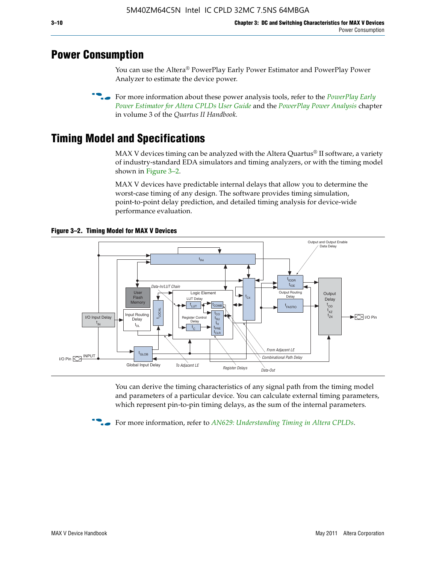### **Power Consumption**

You can use the Altera® PowerPlay Early Power Estimator and PowerPlay Power Analyzer to estimate the device power.

**For more information about these power analysis tools, refer to the** *PowerPlay Early**[Power Estimator for Altera CPLDs User Guide](http://www.altera.com/literature/ug/ug_epe_cpld.pdf)* and the *[PowerPlay Power Analysis](http://www.altera.com/literature/hb/qts/qts_qii53013.pdf)* chapter in volume 3 of the *Quartus II Handbook.*

# **Timing Model and Specifications**

MAX V devices timing can be analyzed with the Altera Quartus<sup>®</sup> II software, a variety of industry-standard EDA simulators and timing analyzers, or with the timing model shown in Figure 3–2.

MAX V devices have predictable internal delays that allow you to determine the worst-case timing of any design. The software provides timing simulation, point-to-point delay prediction, and detailed timing analysis for device-wide performance evaluation.



**Figure 3–2. Timing Model for MAX V Devices**

You can derive the timing characteristics of any signal path from the timing model and parameters of a particular device. You can calculate external timing parameters, which represent pin-to-pin timing delays, as the sum of the internal parameters.

**For more information, refer to** *[AN629: Understanding Timing in Altera CPLDs](http://www.altera.com/literature/an/an629.pdf)***.**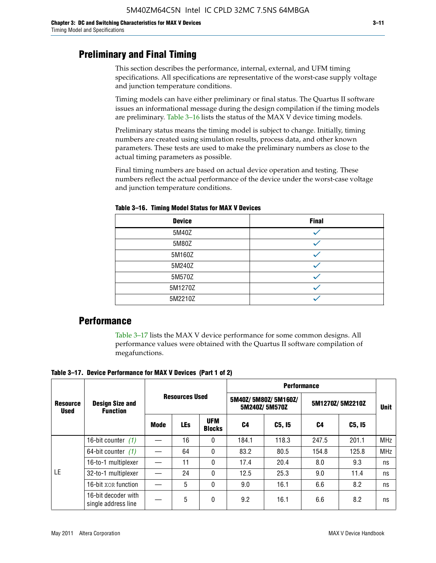### **Preliminary and Final Timing**

This section describes the performance, internal, external, and UFM timing specifications. All specifications are representative of the worst-case supply voltage and junction temperature conditions.

Timing models can have either preliminary or final status. The Quartus II software issues an informational message during the design compilation if the timing models are preliminary. Table 3–16 lists the status of the MAX V device timing models.

Preliminary status means the timing model is subject to change. Initially, timing numbers are created using simulation results, process data, and other known parameters. These tests are used to make the preliminary numbers as close to the actual timing parameters as possible.

Final timing numbers are based on actual device operation and testing. These numbers reflect the actual performance of the device under the worst-case voltage and junction temperature conditions.

| <b>Device</b> | <b>Final</b> |
|---------------|--------------|
| 5M40Z         |              |
| 5M80Z         |              |
| 5M160Z        |              |
| 5M240Z        |              |
| 5M570Z        |              |
| 5M1270Z       |              |
| 5M2210Z       |              |

**Table 3–16. Timing Model Status for MAX V Devices**

### **Performance**

Table 3–17 lists the MAX V device performance for some common designs. All performance values were obtained with the Quartus II software compilation of megafunctions.

**Table 3–17. Device Performance for MAX V Devices (Part 1 of 2)**

|                                | <b>Design Size and</b><br><b>Function</b>  |      |                       |                             | <b>Performance</b> |                                      |                 |             |            |  |  |
|--------------------------------|--------------------------------------------|------|-----------------------|-----------------------------|--------------------|--------------------------------------|-----------------|-------------|------------|--|--|
| <b>Resource</b><br><b>Used</b> |                                            |      | <b>Resources Used</b> |                             |                    | 5M40Z/5M80Z/5M160Z/<br>5M240Z/5M570Z | 5M1270Z/5M2210Z | <b>Unit</b> |            |  |  |
|                                |                                            | Mode | <b>LEs</b>            | <b>UFM</b><br><b>Blocks</b> | C4                 | C5, I5                               | C4              | C5, I5      |            |  |  |
|                                | 16-bit counter $(1)$                       |      | 16                    | 0                           | 184.1              | 118.3                                | 247.5           | 201.1       | <b>MHz</b> |  |  |
|                                | 64-bit counter $(1)$                       |      | 64                    | 0                           | 83.2               | 80.5                                 | 154.8           | 125.8       | <b>MHz</b> |  |  |
|                                | 16-to-1 multiplexer                        |      | 11                    | 0                           | 17.4               | 20.4                                 | 8.0             | 9.3         | ns         |  |  |
| LE                             | 32-to-1 multiplexer                        |      | 24                    | 0                           | 12.5               | 25.3                                 | 9.0             | 11.4        | ns         |  |  |
|                                | 16-bit XOR function                        |      | 5                     | 0                           | 9.0                | 16.1                                 | 6.6             | 8.2         | ns         |  |  |
|                                | 16-bit decoder with<br>single address line |      | 5                     | 0                           | 9.2                | 16.1                                 | 6.6             | 8.2         | ns         |  |  |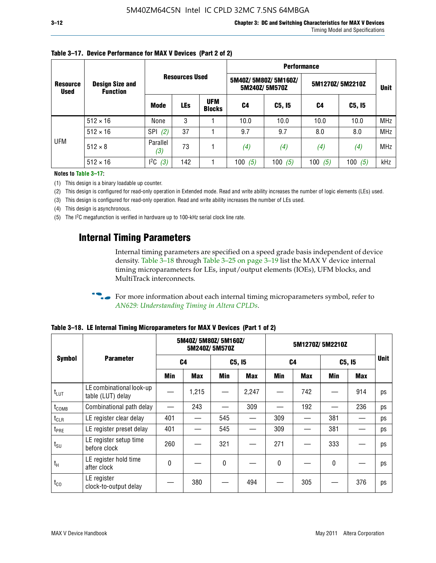|                                |                                           |                   |                       |                             | <b>Performance</b> |                                      |                 |             |            |  |  |
|--------------------------------|-------------------------------------------|-------------------|-----------------------|-----------------------------|--------------------|--------------------------------------|-----------------|-------------|------------|--|--|
| <b>Resource</b><br><b>Used</b> | <b>Design Size and</b><br><b>Function</b> |                   | <b>Resources Used</b> |                             |                    | 5M40Z/5M80Z/5M160Z/<br>5M240Z/5M570Z | 5M1270Z/5M2210Z | <b>Unit</b> |            |  |  |
|                                |                                           | <b>Mode</b>       | <b>LEs</b>            | <b>UFM</b><br><b>Blocks</b> | C4                 | C5, I5                               | C4              | C5, I5      |            |  |  |
|                                | $512 \times 16$                           | None              | 3                     |                             | 10.0               | 10.0                                 | 10.0            | 10.0        | <b>MHz</b> |  |  |
|                                | $512 \times 16$                           | <b>SPI</b><br>(2) | 37                    |                             | 9.7                | 9.7                                  | 8.0             | 8.0         | <b>MHz</b> |  |  |
| <b>UFM</b>                     | $512 \times 8$                            | Parallel<br>(3)   | 73                    |                             | (4)                | (4)                                  | (4)             | (4)         | <b>MHz</b> |  |  |
|                                | $512 \times 16$                           | $l^2C$<br>(3)     | 142                   |                             | 100<br>(5)         | 100 $(5)$                            | 100 $(5)$       | 100 $(5)$   | kHz        |  |  |

### **Table 3–17. Device Performance for MAX V Devices (Part 2 of 2)**

**Notes to Table 3–17:**

(1) This design is a binary loadable up counter.

(2) This design is configured for read-only operation in Extended mode. Read and write ability increases the number of logic elements (LEs) used.

(3) This design is configured for read-only operation. Read and write ability increases the number of LEs used.

(4) This design is asynchronous.

(5) The I2C megafunction is verified in hardware up to 100-kHz serial clock line rate.

### **Internal Timing Parameters**

Internal timing parameters are specified on a speed grade basis independent of device density. Table 3–18 through Table 3–25 on page 3–19 list the MAX V device internal timing microparameters for LEs, input/output elements (IOEs), UFM blocks, and MultiTrack interconnects.

For more information about each internal timing microparameters symbol, refer to *[AN629: Understanding Timing in Altera CPLDs](http://www.altera.com/literature/an/an629.pdf)*.

| <b>Symbol</b>     | <b>Parameter</b>                              | 5M40Z/ 5M80Z/ 5M160Z/<br>5M240Z/5M570Z |       |              |            | 5M1270Z/5M2210Z |            |        |            |             |
|-------------------|-----------------------------------------------|----------------------------------------|-------|--------------|------------|-----------------|------------|--------|------------|-------------|
|                   |                                               |                                        | C4    | C5, I5       |            | C4              |            | C5, I5 |            | <b>Unit</b> |
|                   |                                               | Min                                    | Max   | Min          | <b>Max</b> | Min             | <b>Max</b> | Min    | <b>Max</b> |             |
| $t_{LUT}$         | LE combinational look-up<br>table (LUT) delay |                                        | 1,215 |              | 2,247      |                 | 742        |        | 914        | ps          |
| t <sub>comb</sub> | Combinational path delay                      |                                        | 243   |              | 309        |                 | 192        |        | 236        | ps          |
| $t_{CLR}$         | LE register clear delay                       | 401                                    |       | 545          |            | 309             |            | 381    |            | ps          |
| t <sub>PRE</sub>  | LE register preset delay                      | 401                                    |       | 545          |            | 309             |            | 381    |            | ps          |
| $t_{\text{SU}}$   | LE register setup time<br>before clock        | 260                                    |       | 321          |            | 271             |            | 333    |            | ps          |
| $t_{H}$           | LE register hold time<br>after clock          | $\Omega$                               |       | $\mathbf{0}$ |            | $\mathbf{0}$    |            | 0      |            | ps          |
| $t_{CO}$          | LE register<br>clock-to-output delay          |                                        | 380   |              | 494        |                 | 305        |        | 376        | ps          |

**Table 3–18. LE Internal Timing Microparameters for MAX V Devices (Part 1 of 2)**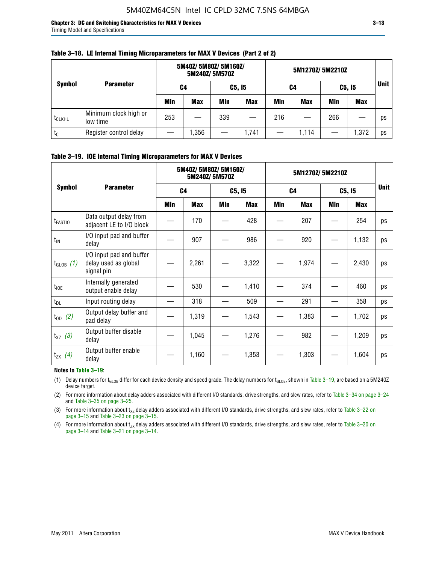**Chapter 3: DC and Switching Characteristics for MAX V Devices 3–13** Timing Model and Specifications

|                    |                                   | 5M40Z/ 5M80Z/ 5M160Z/<br>5M240Z/5M570Z |            |        |            | 5M1270Z/ 5M2210Z |            |     |            |             |
|--------------------|-----------------------------------|----------------------------------------|------------|--------|------------|------------------|------------|-----|------------|-------------|
| <b>Symbol</b>      | <b>Parameter</b>                  | C4                                     |            | C5, I5 |            | C4               |            |     | C5, I5     | <b>Unit</b> |
|                    |                                   | Min                                    | <b>Max</b> | Min    | <b>Max</b> | Min              | <b>Max</b> | Min | <b>Max</b> |             |
| t <sub>CLKHL</sub> | Minimum clock high or<br>low time | 253                                    |            | 339    |            | 216              |            | 266 |            | ps          |
| $t_c$              | Register control delay            |                                        | ,356       |        | 1,741      |                  | 1.114      |     | 1,372      | ps          |

#### **Table 3–18. LE Internal Timing Microparameters for MAX V Devices (Part 2 of 2)**

### **Table 3–19. IOE Internal Timing Microparameters for MAX V Devices**

|                     | <b>Parameter</b>                                               |                | 5M40Z/ 5M80Z/ 5M160Z/ | 5M240Z/5M570Z |       | 5M1270Z/5M2210Z |            |        |       |             |
|---------------------|----------------------------------------------------------------|----------------|-----------------------|---------------|-------|-----------------|------------|--------|-------|-------------|
| <b>Symbol</b>       |                                                                | C <sub>4</sub> |                       | C5, I5        |       | C <sub>4</sub>  |            | C5, I5 |       | <b>Unit</b> |
|                     |                                                                | Min            | <b>Max</b>            | Min           | Max   | Min             | <b>Max</b> | Min    | Max   |             |
| t <sub>FASTIO</sub> | Data output delay from<br>adjacent LE to I/O block             |                | 170                   |               | 428   |                 | 207        |        | 254   | ps          |
| $t_{IN}$            | I/O input pad and buffer<br>delay                              |                | 907                   |               | 986   |                 | 920        |        | 1,132 | ps          |
| $t_{GLOB}$ (1)      | I/O input pad and buffer<br>delay used as global<br>signal pin |                | 2,261                 |               | 3,322 |                 | 1,974      |        | 2,430 | ps          |
| $t_{\text{IOE}}$    | Internally generated<br>output enable delay                    |                | 530                   |               | 1,410 |                 | 374        |        | 460   | ps          |
| $t_{DL}$            | Input routing delay                                            |                | 318                   |               | 509   |                 | 291        |        | 358   | ps          |
| $t_{OD}$ (2)        | Output delay buffer and<br>pad delay                           |                | 1,319                 |               | 1,543 |                 | 1,383      |        | 1,702 | ps          |
| $t_{XZ}$ (3)        | Output buffer disable<br>delay                                 |                | 1,045                 |               | 1,276 |                 | 982        |        | 1,209 | ps          |
| $t_{ZX}$ (4)        | Output buffer enable<br>delay                                  |                | 1,160                 |               | 1,353 |                 | 1,303      |        | 1,604 | ps          |

#### **Notes to Table 3–19:**

(1) Delay numbers for t<sub>GLOB</sub> differ for each device density and speed grade. The delay numbers for t<sub>GLOB</sub>, shown in Table 3–19, are based on a 5M240Z device target.

(2) For more information about delay adders associated with different I/O standards, drive strengths, and slew rates, refer to Table 3–34 on page 3–24 and Table 3–35 on page 3–25.

(3) For more information about  $t_{XZ}$  delay adders associated with different I/O standards, drive strengths, and slew rates, refer to Table 3-22 on page 3–15 and Table 3–23 on page 3–15.

(4) For more information about t<sub>zx</sub> delay adders associated with different I/O standards, drive strengths, and slew rates, refer to Table 3–20 on<br>page 3–14 and Table 3–21 on page 3–14.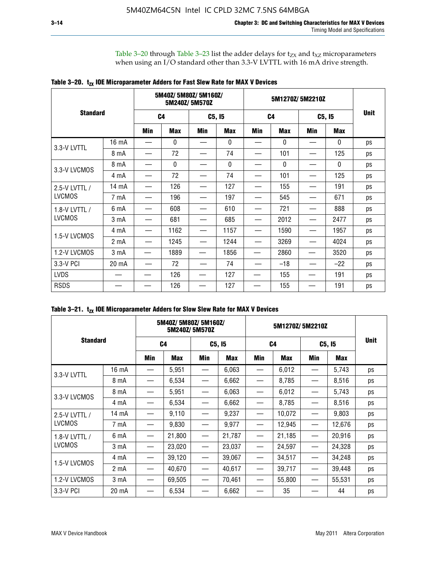Table 3–20 through Table 3–23 list the adder delays for  $t_{ZX}$  and  $t_{XZ}$  microparameters when using an I/O standard other than 3.3-V LVTTL with 16 mA drive strength.

|                 |                  |                | 5M40Z/ 5M80Z/ 5M160Z/ | 5M240Z/5M570Z |            |     | 5M1270Z/5M2210Z | <b>Unit</b> |              |    |
|-----------------|------------------|----------------|-----------------------|---------------|------------|-----|-----------------|-------------|--------------|----|
| <b>Standard</b> |                  | C <sub>4</sub> |                       |               | C5, I5     |     | C <sub>4</sub>  |             | C5, I5       |    |
|                 |                  | Min            | <b>Max</b>            | Min           | <b>Max</b> | Min | <b>Max</b>      | Min         | <b>Max</b>   |    |
| 3.3-V LVTTL     | 16 mA            |                | 0                     |               | 0          |     | $\mathbf{0}$    |             | 0            | ps |
|                 | 8 mA             |                | 72                    |               | 74         |     | 101             |             | 125          | ps |
|                 | 8 mA             |                | 0                     |               | 0          |     | $\mathbf{0}$    |             | $\mathbf{0}$ | ps |
| 3.3-V LVCMOS    | 4 mA             |                | 72                    |               | 74         |     | 101             |             | 125          | ps |
| 2.5-V LVTTL /   | 14 mA            |                | 126                   |               | 127        |     | 155             |             | 191          | ps |
| <b>LVCMOS</b>   | 7 mA             |                | 196                   |               | 197        |     | 545             |             | 671          | ps |
| 1.8-V LVTTL /   | 6 mA             |                | 608                   |               | 610        |     | 721             |             | 888          | ps |
| <b>LVCMOS</b>   | 3 <sub>m</sub> A |                | 681                   |               | 685        |     | 2012            |             | 2477         | ps |
| 1.5-V LVCMOS    | 4 mA             |                | 1162                  |               | 1157       |     | 1590            |             | 1957         | ps |
|                 | 2 <sub>m</sub> A |                | 1245                  |               | 1244       |     | 3269            |             | 4024         | ps |
| 1.2-V LVCMOS    | 3 <sub>m</sub> A |                | 1889                  |               | 1856       |     | 2860            |             | 3520         | ps |
| 3.3-V PCI       | 20 mA            |                | 72                    |               | 74         |     | $-18$           |             | $-22$        | ps |
| <b>LVDS</b>     |                  |                | 126                   |               | 127        |     | 155             |             | 191          | ps |
| <b>RSDS</b>     |                  |                | 126                   |               | 127        |     | 155             |             | 191          | ps |

|                 | 5M40Z/5M80Z/5M160Z/<br>5M240Z/5M570Z |                |            |                   |        | 5M1270Z/5M2210Z |            |                               |        |             |
|-----------------|--------------------------------------|----------------|------------|-------------------|--------|-----------------|------------|-------------------------------|--------|-------------|
| <b>Standard</b> |                                      | C <sub>4</sub> |            | C5, I5            |        | C <sub>4</sub>  |            | C5, I5                        |        | <b>Unit</b> |
|                 |                                      | Min            | <b>Max</b> | Min               | Max    | <b>Min</b>      | <b>Max</b> | Min                           | Max    |             |
| 3.3-V LVTTL     | 16 mA                                |                | 5,951      |                   | 6,063  |                 | 6,012      |                               | 5,743  | ps          |
|                 | 8 mA                                 |                | 6,534      | $\hspace{0.05cm}$ | 6,662  |                 | 8,785      |                               | 8,516  | ps          |
| 3.3-V LVCMOS    | 8 mA                                 |                | 5,951      |                   | 6,063  |                 | 6,012      |                               | 5,743  | ps          |
|                 | 4 mA                                 |                | 6,534      |                   | 6,662  |                 | 8,785      |                               | 8,516  | ps          |
| 2.5-V LVTTL /   | 14 mA                                |                | 9,110      |                   | 9,237  |                 | 10,072     |                               | 9,803  | ps          |
| <b>LVCMOS</b>   | 7 mA                                 |                | 9,830      |                   | 9,977  | —               | 12,945     |                               | 12,676 | ps          |
| 1.8-V LVTTL /   | 6 mA                                 |                | 21,800     |                   | 21,787 |                 | 21,185     |                               | 20,916 | ps          |
| <b>LVCMOS</b>   | 3 mA                                 |                | 23,020     |                   | 23,037 | —               | 24,597     |                               | 24,328 | ps          |
|                 | 4 mA                                 |                | 39,120     |                   | 39,067 |                 | 34,517     |                               | 34,248 | ps          |
| 1.5-V LVCMOS    | 2 <sub>m</sub> A                     |                | 40,670     |                   | 40,617 | —               | 39,717     | $\overbrace{\phantom{aaaaa}}$ | 39,448 | ps          |
| 1.2-V LVCMOS    | 3 <sub>m</sub> A                     |                | 69,505     |                   | 70,461 |                 | 55,800     |                               | 55,531 | ps          |
| 3.3-V PCI       | 20 mA                                |                | 6,534      |                   | 6,662  |                 | 35         |                               | 44     | ps          |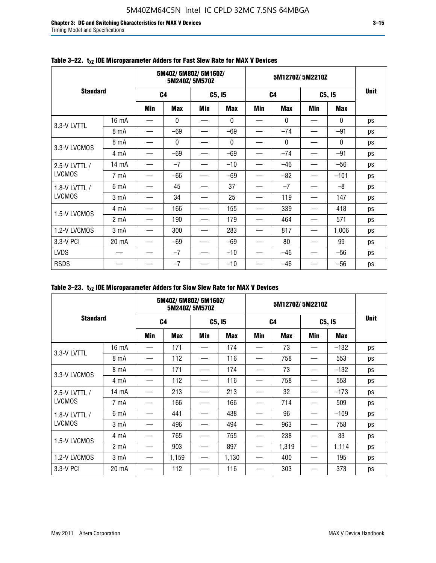**Chapter 3: DC and Switching Characteristics for MAX V Devices 3–15** Timing Model and Specifications

|                 | 5M40Z/5M80Z/5M160Z/<br>5M240Z/5M570Z |                |              |            |            | 5M1270Z/5M2210Z |              |            |              |             |
|-----------------|--------------------------------------|----------------|--------------|------------|------------|-----------------|--------------|------------|--------------|-------------|
| <b>Standard</b> |                                      | C <sub>4</sub> |              | C5, I5     |            | C <sub>4</sub>  |              | C5, I5     |              | <b>Unit</b> |
|                 |                                      | <b>Min</b>     | <b>Max</b>   | <b>Min</b> | <b>Max</b> | <b>Min</b>      | <b>Max</b>   | <b>Min</b> | <b>Max</b>   |             |
| 3.3-V LVTTL     | 16 mA                                |                | $\mathbf{0}$ |            | 0          |                 | $\mathbf{0}$ |            | $\mathbf{0}$ | ps          |
|                 | 8 mA                                 |                | $-69$        |            | $-69$      |                 | $-74$        |            | $-91$        | ps          |
| 3.3-V LVCMOS    | 8 mA                                 |                | 0            |            | 0          |                 | $\mathbf{0}$ |            | $\mathbf{0}$ | ps          |
|                 | 4 mA                                 |                | $-69$        |            | $-69$      |                 | $-74$        |            | $-91$        | ps          |
| 2.5-V LVTTL /   | 14 mA                                |                | $-7$         |            | $-10$      |                 | $-46$        |            | $-56$        | ps          |
| <b>LVCMOS</b>   | 7 mA                                 |                | -66          |            | $-69$      |                 | $-82$        |            | $-101$       | ps          |
| 1.8-V LVTTL /   | 6 mA                                 |                | 45           |            | 37         |                 | $-7$         |            | $-8$         | ps          |
| <b>LVCMOS</b>   | 3 mA                                 |                | 34           |            | 25         |                 | 119          |            | 147          | ps          |
| 1.5-V LVCMOS    | 4 mA                                 |                | 166          |            | 155        |                 | 339          |            | 418          | ps          |
|                 | 2 <sub>m</sub> A                     |                | 190          |            | 179        |                 | 464          |            | 571          | ps          |
| 1.2-V LVCMOS    | 3 <sub>m</sub> A                     |                | 300          |            | 283        |                 | 817          |            | 1,006        | ps          |
| 3.3-V PCI       | 20 mA                                |                | $-69$        |            | $-69$      |                 | 80           |            | 99           | ps          |
| <b>LVDS</b>     |                                      |                | $-7$         |            | $-10$      |                 | $-46$        |            | $-56$        | ps          |
| <b>RSDS</b>     |                                      |                | $-7$         |            | $-10$      |                 | $-46$        |            | $-56$        | ps          |

### Table 3-22. t<sub>xz</sub> IOE Microparameter Adders for Fast Slew Rate for MAX V Devices

| Table 3–23. $t_{XZ}$ IOE Microparameter Adders for Slow Slew Rate for MAX V Devices |  |  |
|-------------------------------------------------------------------------------------|--|--|
|-------------------------------------------------------------------------------------|--|--|

|                 |                  | 5M40Z/5M80Z/5M160Z/ | 5M240Z/5M570Z |        |            | 5M1270Z/5M2210Z |            |        |            |             |  |
|-----------------|------------------|---------------------|---------------|--------|------------|-----------------|------------|--------|------------|-------------|--|
| <b>Standard</b> |                  | C <sub>4</sub>      |               | C5, I5 |            | C4              |            | C5, I5 |            | <b>Unit</b> |  |
|                 |                  | Min                 | <b>Max</b>    | Min    | <b>Max</b> | Min             | <b>Max</b> | Min    | <b>Max</b> |             |  |
| 3.3-V LVTTL     | 16 mA            |                     | 171           |        | 174        | —               | 73         | —      | $-132$     | ps          |  |
|                 | 8 mA             |                     | 112           |        | 116        |                 | 758        |        | 553        | ps          |  |
| 3.3-V LVCMOS    | 8 mA             |                     | 171           |        | 174        |                 | 73         |        | $-132$     | ps          |  |
|                 | 4 mA             |                     | 112           |        | 116        |                 | 758        |        | 553        | ps          |  |
| 2.5-V LVTTL /   | 14 mA            |                     | 213           |        | 213        |                 | 32         |        | $-173$     | ps          |  |
| <b>LVCMOS</b>   | 7 mA             |                     | 166           |        | 166        |                 | 714        |        | 509        | ps          |  |
| 1.8-V LVTTL /   | 6 mA             |                     | 441           |        | 438        |                 | 96         |        | $-109$     | ps          |  |
| <b>LVCMOS</b>   | 3 mA             |                     | 496           |        | 494        |                 | 963        |        | 758        | ps          |  |
|                 | 4 mA             |                     | 765           |        | 755        |                 | 238        |        | 33         | ps          |  |
| 1.5-V LVCMOS    | 2 <sub>m</sub> A |                     | 903           |        | 897        |                 | 1,319      |        | 1,114      | ps          |  |
| 1.2-V LVCMOS    | 3 <sub>m</sub> A |                     | 1,159         |        | 1,130      |                 | 400        |        | 195        | ps          |  |
| 3.3-V PCI       | 20 mA            |                     | 112           |        | 116        |                 | 303        |        | 373        | ps          |  |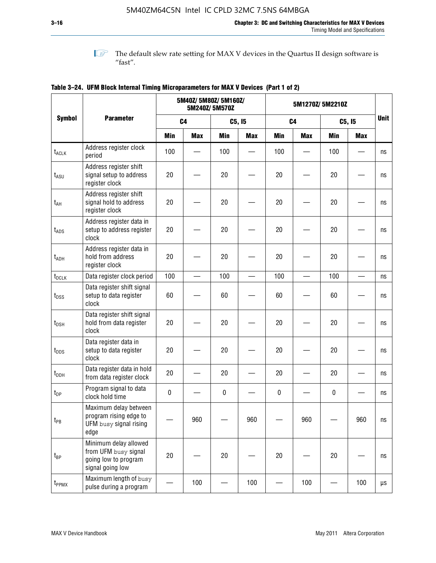**1 The default slew rate setting for MAX V devices in the Quartus II design software is**  $^{\prime\prime}$  fast".

|                    |                                                                                           |            | 5M40Z/ 5M80Z/ 5M160Z/ | 5M240Z/5M570Z |            | 5M1270Z/5M2210Z |                |             |            |             |
|--------------------|-------------------------------------------------------------------------------------------|------------|-----------------------|---------------|------------|-----------------|----------------|-------------|------------|-------------|
| <b>Symbol</b>      | <b>Parameter</b>                                                                          |            | C <sub>4</sub>        |               | C5, I5     |                 | C <sub>4</sub> |             | C5, I5     | <b>Unit</b> |
|                    |                                                                                           | <b>Min</b> | <b>Max</b>            | <b>Min</b>    | <b>Max</b> | <b>Min</b>      | <b>Max</b>     | <b>Min</b>  | <b>Max</b> |             |
| t <sub>ACLK</sub>  | Address register clock<br>period                                                          | 100        |                       | 100           |            | 100             |                | 100         |            | ns          |
| $t_{ASU}$          | Address register shift<br>signal setup to address<br>register clock                       | 20         |                       | 20            |            | 20              |                | 20          |            | ns          |
| $t_{AH}$           | Address register shift<br>signal hold to address<br>register clock                        | 20         |                       | 20            |            | 20              |                | 20          |            | ns          |
| $t_{\mathsf{ADS}}$ | Address register data in<br>setup to address register<br>clock                            | 20         |                       | 20            |            | 20              |                | 20          |            | ns          |
| t <sub>ADH</sub>   | Address register data in<br>hold from address<br>register clock                           | 20         |                       | 20            |            | 20              |                | 20          |            | ns          |
| $t_{DCLK}$         | Data register clock period                                                                | 100        |                       | 100           |            | 100             |                | 100         |            | ns          |
| $t_{DSS}$          | Data register shift signal<br>setup to data register<br>clock                             | 60         |                       | 60            |            | 60              |                | 60          |            | ns          |
| $t_{DSH}$          | Data register shift signal<br>hold from data register<br>clock                            | 20         |                       | 20            |            | 20              |                | 20          |            | ns          |
| $t_{\text{DDS}}$   | Data register data in<br>setup to data register<br>clock                                  | 20         |                       | 20            |            | 20              |                | 20          |            | ns          |
| $t_{DDH}$          | Data register data in hold<br>from data register clock                                    | 20         |                       | 20            |            | 20              |                | 20          |            | ns          |
| $t_{DP}$           | Program signal to data<br>clock hold time                                                 | $\pmb{0}$  |                       | 0             |            | 0               |                | $\mathbf 0$ |            | ns          |
| $t_{PB}$           | Maximum delay between<br>program rising edge to<br>UFM busy signal rising<br>edge         |            | 960                   |               | 960        |                 | 960            |             | 960        | ns          |
| t <sub>BP</sub>    | Minimum delay allowed<br>from UFM busy signal<br>going low to program<br>signal going low | 20         |                       | 20            |            | 20              |                | 20          |            | ns          |
| t <sub>PPMX</sub>  | Maximum length of busy<br>pulse during a program                                          |            | 100                   |               | 100        |                 | 100            |             | 100        | μs          |

### **Table 3–24. UFM Block Internal Timing Microparameters for MAX V Devices (Part 1 of 2)**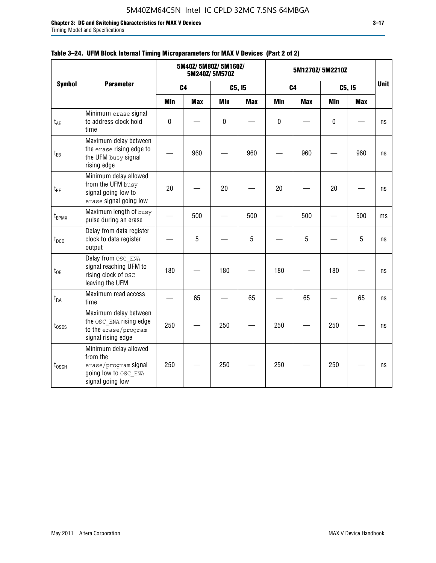**Chapter 3: DC and Switching Characteristics for MAX V Devices 3–17**

Timing Model and Specifications

|                   |                                                                                                       |            | 5M40Z/ 5M80Z/ 5M160Z/ | 5M240Z/5M570Z |            | 5M1270Z/5M2210Z | <b>Unit</b>    |             |            |    |
|-------------------|-------------------------------------------------------------------------------------------------------|------------|-----------------------|---------------|------------|-----------------|----------------|-------------|------------|----|
| <b>Symbol</b>     | <b>Parameter</b>                                                                                      |            | C <sub>4</sub>        |               | C5, I5     |                 | C <sub>4</sub> |             | C5, I5     |    |
|                   |                                                                                                       | <b>Min</b> | <b>Max</b>            | <b>Min</b>    | <b>Max</b> | <b>Min</b>      | <b>Max</b>     | <b>Min</b>  | <b>Max</b> |    |
| t <sub>AE</sub>   | Minimum erase signal<br>to address clock hold<br>time                                                 | $\pmb{0}$  |                       | $\mathbf 0$   |            | 0               |                | $\mathbf 0$ |            | ns |
| $t_{EB}$          | Maximum delay between<br>the erase rising edge to<br>the UFM busy signal<br>rising edge               |            | 960                   |               | 960        |                 | 960            |             | 960        | ns |
| $t_{BE}$          | Minimum delay allowed<br>from the UFM busy<br>signal going low to<br>erase signal going low           | 20         |                       | 20            |            | 20              |                | 20          |            | ns |
| $t_{EPMX}$        | Maximum length of busy<br>pulse during an erase                                                       |            | 500                   |               | 500        |                 | 500            |             | 500        | ms |
| $t_{DCO}$         | Delay from data register<br>clock to data register<br>output                                          |            | 5                     |               | 5          |                 | 5              |             | 5          | ns |
| $t_{OE}$          | Delay from OSC ENA<br>signal reaching UFM to<br>rising clock of osc<br>leaving the UFM                | 180        |                       | 180           |            | 180             |                | 180         |            | ns |
| $t_{\mathsf{RA}}$ | Maximum read access<br>time                                                                           |            | 65                    |               | 65         |                 | 65             |             | 65         | ns |
| $t_{0SCS}$        | Maximum delay between<br>the OSC ENA rising edge<br>to the erase/program<br>signal rising edge        | 250        |                       | 250           |            | 250             |                | 250         |            | ns |
| $t_{\text{OSCH}}$ | Minimum delay allowed<br>from the<br>erase/program signal<br>going low to OSC_ENA<br>signal going low | 250        |                       | 250           |            | 250             |                | 250         |            | ns |

### **Table 3–24. UFM Block Internal Timing Microparameters for MAX V Devices (Part 2 of 2)**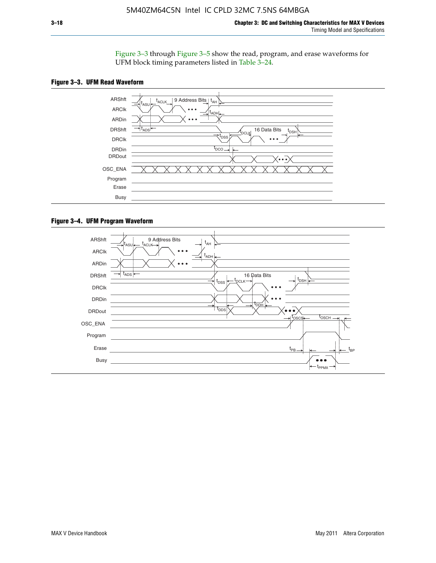Figure 3–3 through Figure 3–5 show the read, program, and erase waveforms for UFM block timing parameters listed in Table 3–24.





#### **Figure 3–4. UFM Program Waveform**

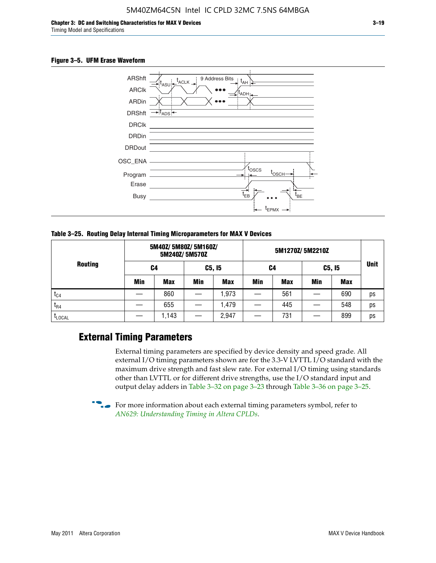#### **Figure 3–5. UFM Erase Waveform**



**Table 3–25. Routing Delay Internal Timing Microparameters for MAX V Devices**

| <b>Routing</b> |     | 5M40Z/ 5M80Z/ 5M160Z/ | 5M240Z/5M570Z |            |     |     |            |            |             |
|----------------|-----|-----------------------|---------------|------------|-----|-----|------------|------------|-------------|
|                | C4  |                       | C5, I5        |            | C4  |     | C5, I5     |            | <b>Unit</b> |
|                | Min | <b>Max</b>            | <b>Min</b>    | <b>Max</b> | Min | Max | <b>Min</b> | <b>Max</b> |             |
| $t_{C4}$       |     | 860                   |               | ,973       |     | 561 |            | 690        | ps          |
| $I_{R4}$       |     | 655                   |               | .479       |     | 445 |            | 548        | ps          |
| <b>LLOCAL</b>  |     | 1,143                 |               | 2,947      |     | 731 |            | 899        | ps          |

### **External Timing Parameters**

External timing parameters are specified by device density and speed grade. All external I/O timing parameters shown are for the 3.3-V LVTTL I/O standard with the maximum drive strength and fast slew rate. For external I/O timing using standards other than LVTTL or for different drive strengths, use the I/O standard input and output delay adders in Table 3–32 on page 3–23 through Table 3–36 on page 3–25.

 $\bullet$  For more information about each external timing parameters symbol, refer to *[AN629: Understanding Timing in Altera CPLDs](http://www.altera.com/literature/an/an629.pdf)*.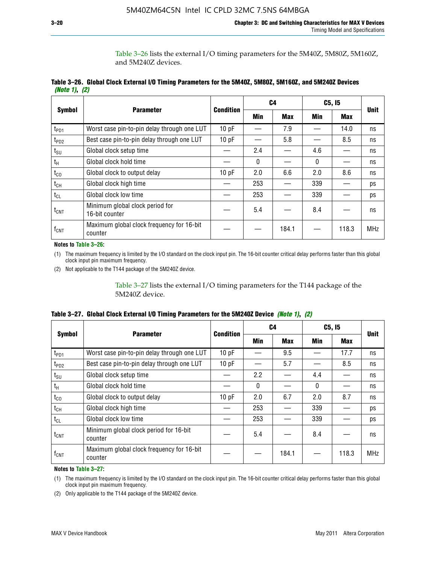Table 3–26 lists the external I/O timing parameters for the 5M40Z, 5M80Z, 5M160Z, and 5M240Z devices.

|               | Table 3–26. Global Clock External I/O Timing Parameters for the 5M40Z, 5M80Z, 5M160Z, and 5M240Z Devices |  |  |
|---------------|----------------------------------------------------------------------------------------------------------|--|--|
| (Note 1), (2) |                                                                                                          |  |  |

| <b>Symbol</b>    |                                                      | <b>Condition</b> |              | C <sub>4</sub> |          | C5, I5     | <b>Unit</b> |
|------------------|------------------------------------------------------|------------------|--------------|----------------|----------|------------|-------------|
|                  | <b>Parameter</b>                                     |                  | <b>Min</b>   | <b>Max</b>     | Min      | <b>Max</b> |             |
| t <sub>PD1</sub> | Worst case pin-to-pin delay through one LUT          | 10pF             |              | 7.9            |          | 14.0       | ns          |
| $t_{PD2}$        | Best case pin-to-pin delay through one LUT           | 10pF             |              | 5.8            |          | 8.5        | ns          |
| $t_{\text{SU}}$  | Global clock setup time                              |                  | 2.4          |                | 4.6      |            | ns          |
| $t_{H}$          | Global clock hold time                               |                  | $\mathbf{0}$ |                | $\Omega$ |            | ns          |
| $t_{CO}$         | Global clock to output delay                         | 10pF             | 2.0          | 6.6            | 2.0      | 8.6        | ns          |
| $t_{CH}$         | Global clock high time                               |                  | 253          |                | 339      |            | ps          |
| $t_{CL}$         | Global clock low time                                |                  | 253          |                | 339      |            | ps          |
| $t_{\text{CNT}}$ | Minimum global clock period for<br>16-bit counter    |                  | 5.4          |                | 8.4      |            | ns          |
| $f_{CNT}$        | Maximum global clock frequency for 16-bit<br>counter |                  |              | 184.1          |          | 118.3      | <b>MHz</b>  |

**Notes to Table 3–26:**

(1) The maximum frequency is limited by the I/O standard on the clock input pin. The 16-bit counter critical delay performs faster than this global clock input pin maximum frequency.

(2) Not applicable to the T144 package of the 5M240Z device.

Table 3–27 lists the external I/O timing parameters for the T144 package of the 5M240Z device.

|  | Table 3–27. Global Clock External I/O Timing Parameters for the 5M240Z Device <i>(Note 1), (2)</i> |  |  |  |  |
|--|----------------------------------------------------------------------------------------------------|--|--|--|--|
|--|----------------------------------------------------------------------------------------------------|--|--|--|--|

|                    |                                                      | <b>Condition</b> |          | C <sub>4</sub> |          | C5, I5     | <b>Unit</b> |  |
|--------------------|------------------------------------------------------|------------------|----------|----------------|----------|------------|-------------|--|
| <b>Symbol</b>      | <b>Parameter</b>                                     |                  | Min      | <b>Max</b>     | Min      | <b>Max</b> |             |  |
| t <sub>PD1</sub>   | Worst case pin-to-pin delay through one LUT          | 10 pF            |          | 9.5            |          | 17.7       | ns          |  |
| t <sub>PD2</sub>   | Best case pin-to-pin delay through one LUT           | 10pF             |          | 5.7            |          | 8.5        | ns          |  |
| $t_{\text{SU}}$    | Global clock setup time                              |                  | 2.2      |                | 4.4      |            | ns          |  |
| $t_{\rm H}$        | Global clock hold time                               |                  | $\Omega$ |                | $\Omega$ |            | ns          |  |
| $t_{CO}$           | Global clock to output delay                         | 10pF             | 2.0      | 6.7            | 2.0      | 8.7        | ns          |  |
| t <sub>CH</sub>    | Global clock high time                               |                  | 253      |                | 339      |            | ps          |  |
| $t_{CL}$           | Global clock low time                                |                  | 253      |                | 339      |            | ps          |  |
| $t_{\text{CNT}}$   | Minimum global clock period for 16-bit<br>counter    |                  | 5.4      |                | 8.4      |            | ns          |  |
| $f_{\mathsf{CNT}}$ | Maximum global clock frequency for 16-bit<br>counter |                  |          | 184.1          |          | 118.3      | <b>MHz</b>  |  |

**Notes to Table 3–27:**

(1) The maximum frequency is limited by the I/O standard on the clock input pin. The 16-bit counter critical delay performs faster than this global clock input pin maximum frequency.

(2) Only applicable to the T144 package of the 5M240Z device.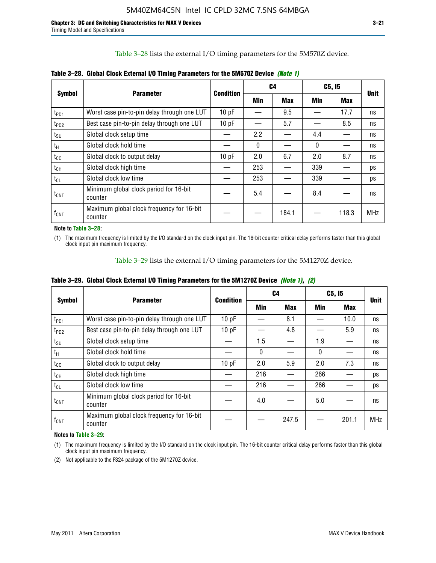Table 3–28 lists the external I/O timing parameters for the 5M570Z device.

| <b>Symbol</b>      | <b>Parameter</b>                                     | <b>Condition</b> |              | C4         |              | C5, I5     | <b>Unit</b> |
|--------------------|------------------------------------------------------|------------------|--------------|------------|--------------|------------|-------------|
|                    |                                                      |                  | <b>Min</b>   | <b>Max</b> | Min          | <b>Max</b> |             |
| t <sub>PD1</sub>   | Worst case pin-to-pin delay through one LUT          | 10 pF            |              | 9.5        |              | 17.7       | ns          |
| $t_{PD2}$          | Best case pin-to-pin delay through one LUT           | 10pF             |              | 5.7        |              | 8.5        | ns          |
| $t_{\text{SU}}$    | Global clock setup time                              |                  | 2.2          |            | 4.4          |            | ns          |
| $t_{H}$            | Global clock hold time                               |                  | $\mathbf{0}$ |            | $\mathbf{0}$ |            | ns          |
| $t_{CO}$           | Global clock to output delay                         | 10pF             | 2.0          | 6.7        | 2.0          | 8.7        | ns          |
| $t_{CH}$           | Global clock high time                               |                  | 253          |            | 339          |            | ps          |
| $t_{CL}$           | Global clock low time                                |                  | 253          |            | 339          |            | ps          |
| $t_{\text{CNT}}$   | Minimum global clock period for 16-bit<br>counter    |                  | 5.4          |            | 8.4          |            | ns          |
| $f_{\mathsf{CNT}}$ | Maximum global clock frequency for 16-bit<br>counter |                  |              | 184.1      |              | 118.3      | <b>MHz</b>  |

**Table 3–28. Global Clock External I/O Timing Parameters for the 5M570Z Device** *(Note 1)*

**Note to Table 3–28:**

(1) The maximum frequency is limited by the I/O standard on the clock input pin. The 16-bit counter critical delay performs faster than this global clock input pin maximum frequency.

Table 3–29 lists the external I/O timing parameters for the 5M1270Z device.

|  |  | Table 3–29. Global Clock External I/O Timing Parameters for the 5M1270Z Device <i>(Note 1)</i> , (2) |  |  |
|--|--|------------------------------------------------------------------------------------------------------|--|--|
|--|--|------------------------------------------------------------------------------------------------------|--|--|

|                             |                                                      | Condition |            | C4         | C5, I5   | <b>Unit</b> |            |
|-----------------------------|------------------------------------------------------|-----------|------------|------------|----------|-------------|------------|
| <b>Symbol</b>               | <b>Parameter</b>                                     |           | <b>Min</b> | <b>Max</b> | Min      | Max         |            |
| $t_{PD1}$                   | Worst case pin-to-pin delay through one LUT          | 10pF      |            | 8.1        |          | 10.0        | ns         |
| $t_{PD2}$                   | Best case pin-to-pin delay through one LUT           | 10pF      |            | 4.8        |          | 5.9         | ns         |
| $t_{\scriptstyle\text{SU}}$ | Global clock setup time                              |           | 1.5        |            | 1.9      |             | ns         |
| $t_{\rm H}$                 | Global clock hold time                               |           | $\Omega$   |            | $\Omega$ |             | ns         |
| $t_{CO}$                    | Global clock to output delay                         | 10pF      | 2.0        | 5.9        | 2.0      | 7.3         | ns         |
| $t_{CH}$                    | Global clock high time                               |           | 216        |            | 266      |             | ps         |
| $t_{CL}$                    | Global clock low time                                |           | 216        |            | 266      |             | ps         |
| $t_{\text{CNT}}$            | Minimum global clock period for 16-bit<br>counter    |           | 4.0        |            | 5.0      |             | ns         |
| $\mathsf{f}_{\mathsf{CNT}}$ | Maximum global clock frequency for 16-bit<br>counter |           |            | 247.5      |          | 201.1       | <b>MHz</b> |

**Notes to Table 3–29:**

(1) The maximum frequency is limited by the I/O standard on the clock input pin. The 16-bit counter critical delay performs faster than this global clock input pin maximum frequency.

(2) Not applicable to the F324 package of the 5M1270Z device.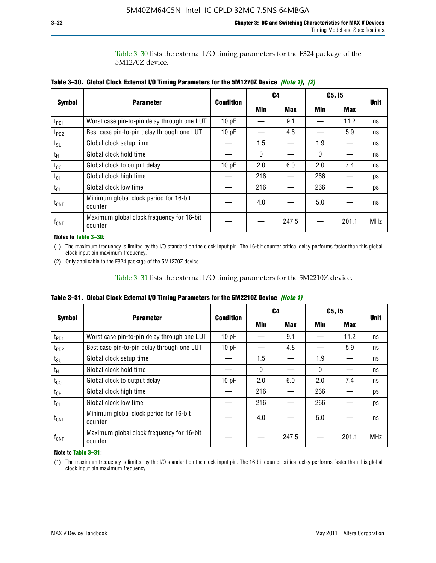Table 3–30 lists the external I/O timing parameters for the F324 package of the 5M1270Z device.

|                    |                                                      |                  |     | C <sub>4</sub> | C5, I5 | <b>Unit</b> |            |  |
|--------------------|------------------------------------------------------|------------------|-----|----------------|--------|-------------|------------|--|
| <b>Symbol</b>      | <b>Parameter</b>                                     | <b>Condition</b> | Min | <b>Max</b>     | Min    | <b>Max</b>  |            |  |
| t <sub>PD1</sub>   | Worst case pin-to-pin delay through one LUT          | 10pF             |     | 9.1            |        | 11.2        | ns         |  |
| t <sub>PD2</sub>   | Best case pin-to-pin delay through one LUT           | 10pF             |     | 4.8            |        | 5.9         | ns         |  |
| $t_{\text{SU}}$    | Global clock setup time                              |                  | 1.5 |                | 1.9    |             | ns         |  |
| $t_{H}$            | Global clock hold time                               |                  | 0   |                | 0      |             | ns         |  |
| $t_{CO}$           | Global clock to output delay                         | 10pF             | 2.0 | 6.0            | 2.0    | 7.4         | ns         |  |
| $t_{CH}$           | Global clock high time                               |                  | 216 |                | 266    |             | ps         |  |
| $t_{CL}$           | Global clock low time                                |                  | 216 |                | 266    |             | ps         |  |
| $t_{\text{CNT}}$   | Minimum global clock period for 16-bit<br>counter    |                  | 4.0 |                | 5.0    |             | ns         |  |
| $f_{\mathsf{CNT}}$ | Maximum global clock frequency for 16-bit<br>counter |                  |     | 247.5          |        | 201.1       | <b>MHz</b> |  |

**Table 3–30. Global Clock External I/O Timing Parameters for the 5M1270Z Device** *(Note 1)***,** *(2)*

**Notes to Table 3–30:**

(1) The maximum frequency is limited by the I/O standard on the clock input pin. The 16-bit counter critical delay performs faster than this global clock input pin maximum frequency.

(2) Only applicable to the F324 package of the 5M1270Z device.

Table 3–31 lists the external I/O timing parameters for the 5M2210Z device.

|  | Table 3–31. Global Clock External I/O Timing Parameters for the 5M2210Z Device <i>(Note 1)</i> |  |  |  |  |
|--|------------------------------------------------------------------------------------------------|--|--|--|--|
|--|------------------------------------------------------------------------------------------------|--|--|--|--|

|                    | <b>Parameter</b>                                     | <b>Condition</b> |          | C4         | C5, I5   |            | <b>Unit</b> |
|--------------------|------------------------------------------------------|------------------|----------|------------|----------|------------|-------------|
| <b>Symbol</b>      |                                                      |                  | Min      | <b>Max</b> | Min      | <b>Max</b> |             |
| t <sub>PD1</sub>   | Worst case pin-to-pin delay through one LUT          | 10pF             |          | 9.1        |          | 11.2       | ns          |
| t <sub>PD2</sub>   | Best case pin-to-pin delay through one LUT           | 10 pF            |          | 4.8        |          | 5.9        | ns          |
| $t_{\text{SU}}$    | Global clock setup time                              |                  | 1.5      |            | 1.9      |            | ns          |
| $t_{H}$            | Global clock hold time                               |                  | $\Omega$ |            | $\Omega$ |            | ns          |
| $t_{\rm CO}$       | Global clock to output delay                         | 10pF             | 2.0      | 6.0        | 2.0      | 7.4        | ns          |
| $t_{CH}$           | Global clock high time                               |                  | 216      |            | 266      |            | ps          |
| $t_{CL}$           | Global clock low time                                |                  | 216      |            | 266      |            | ps          |
| $t_{\text{CNT}}$   | Minimum global clock period for 16-bit<br>counter    |                  | 4.0      |            | 5.0      |            | ns          |
| $f_{\mathsf{CNT}}$ | Maximum global clock frequency for 16-bit<br>counter |                  |          | 247.5      |          | 201.1      | <b>MHz</b>  |

**Note to Table 3–31:**

(1) The maximum frequency is limited by the I/O standard on the clock input pin. The 16-bit counter critical delay performs faster than this global clock input pin maximum frequency.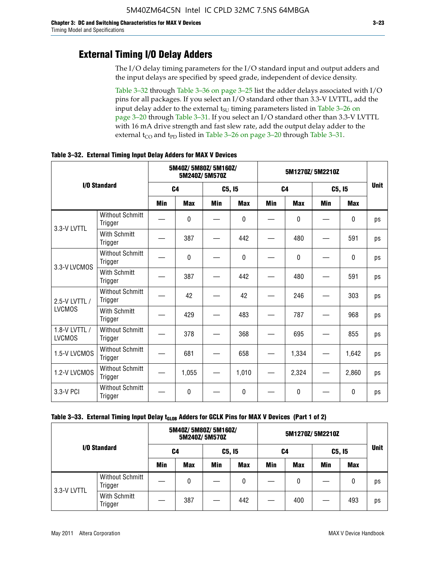### **External Timing I/O Delay Adders**

The I/O delay timing parameters for the I/O standard input and output adders and the input delays are specified by speed grade, independent of device density.

Table 3–32 through Table 3–36 on page 3–25 list the adder delays associated with I/O pins for all packages. If you select an I/O standard other than 3.3-V LVTTL, add the input delay adder to the external  $t_{\text{SU}}$  timing parameters listed in Table 3-26 on page 3–20 through Table 3–31. If you select an I/O standard other than 3.3-V LVTTL with 16 mA drive strength and fast slew rate, add the output delay adder to the external  $t_{CO}$  and  $t_{PD}$  listed in Table 3–26 on page 3–20 through Table 3–31.

|                                |                                   | 5M40Z/ 5M80Z/ 5M160Z/<br>5M240Z/5M570Z |            |            |              | 5M1270Z/5M2210Z |            |            |              |             |
|--------------------------------|-----------------------------------|----------------------------------------|------------|------------|--------------|-----------------|------------|------------|--------------|-------------|
|                                | I/O Standard                      | C <sub>4</sub>                         |            | C5, I5     |              | C <sub>4</sub>  |            | C5, I5     |              | <b>Unit</b> |
|                                |                                   | Min                                    | <b>Max</b> | <b>Min</b> | <b>Max</b>   | <b>Min</b>      | <b>Max</b> | <b>Min</b> | <b>Max</b>   |             |
| 3.3-V LVTTL                    | <b>Without Schmitt</b><br>Trigger |                                        | 0          |            | $\mathbf{0}$ |                 | $\Omega$   |            | $\mathbf{0}$ | ps          |
|                                | With Schmitt<br>Trigger           |                                        | 387        |            | 442          |                 | 480        |            | 591          | ps          |
| 3.3-V LVCMOS                   | <b>Without Schmitt</b><br>Trigger |                                        | 0          |            | 0            |                 | 0          |            | 0            | ps          |
|                                | With Schmitt<br>Trigger           |                                        | 387        |            | 442          |                 | 480        |            | 591          | ps          |
| 2.5-V LVTTL /                  | <b>Without Schmitt</b><br>Trigger |                                        | 42         |            | 42           |                 | 246        |            | 303          | ps          |
| <b>LVCMOS</b>                  | With Schmitt<br>Trigger           |                                        | 429        |            | 483          |                 | 787        |            | 968          | ps          |
| 1.8-V LVTTL /<br><b>LVCMOS</b> | <b>Without Schmitt</b><br>Trigger |                                        | 378        |            | 368          |                 | 695        |            | 855          | ps          |
| 1.5-V LVCMOS                   | <b>Without Schmitt</b><br>Trigger |                                        | 681        |            | 658          |                 | 1,334      |            | 1,642        | ps          |
| 1.2-V LVCMOS                   | <b>Without Schmitt</b><br>Trigger |                                        | 1,055      |            | 1,010        |                 | 2,324      |            | 2,860        | ps          |
| 3.3-V PCI                      | <b>Without Schmitt</b><br>Trigger |                                        | 0          |            | $\Omega$     |                 | $\Omega$   |            | $\Omega$     | ps          |

**Table 3–32. External Timing Input Delay Adders for MAX V Devices**

| I/O Standard |                                   |            | 5M40Z/ 5M80Z/ 5M160Z/ | 5M240Z/5M570Z |            | 5M1270Z/5M2210Z |            |        |            |             |
|--------------|-----------------------------------|------------|-----------------------|---------------|------------|-----------------|------------|--------|------------|-------------|
|              |                                   | C4         |                       | C5, I5        |            | C4              |            | C5, 15 |            | <b>Unit</b> |
|              |                                   | <b>Min</b> | <b>Max</b>            | Min           | <b>Max</b> | Min             | <b>Max</b> | Min    | <b>Max</b> |             |
| 3.3-V LVTTL  | <b>Without Schmitt</b><br>Trigger |            | 0                     |               | 0          |                 | 0          |        | 0          | ps          |
|              | With Schmitt<br>Trigger           |            | 387                   |               | 442        |                 | 400        |        | 493        | ps          |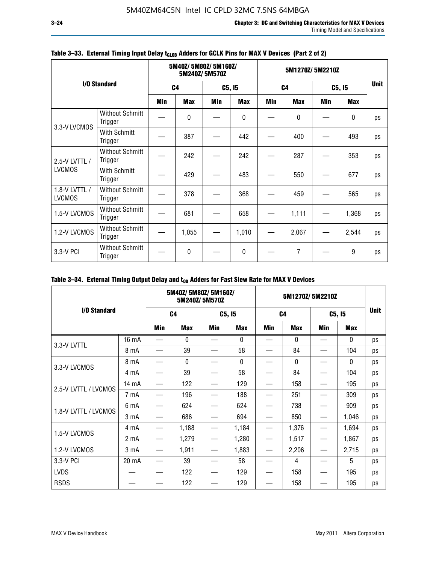|                                |                                   |            | 5M40Z/5M80Z/5M160Z/<br>5M240Z/5M570Z |     |            |     | 5M1270Z/5M2210Z |            |             |    |  |
|--------------------------------|-----------------------------------|------------|--------------------------------------|-----|------------|-----|-----------------|------------|-------------|----|--|
|                                | I/O Standard                      |            | C <sub>4</sub>                       |     | C5, I5     |     | C <sub>4</sub>  |            | C5, I5      |    |  |
|                                |                                   | <b>Min</b> | <b>Max</b>                           | Min | <b>Max</b> | Min | <b>Max</b>      | <b>Min</b> | <b>Max</b>  |    |  |
| 3.3-V LVCMOS                   | <b>Without Schmitt</b><br>Trigger |            | $\Omega$                             |     | 0          |     | 0               |            | $\mathbf 0$ | ps |  |
|                                | With Schmitt<br>Trigger           |            | 387                                  |     | 442        |     | 400             |            | 493         | ps |  |
| 2.5-V LVTTL /                  | <b>Without Schmitt</b><br>Trigger |            | 242                                  |     | 242        |     | 287             |            | 353         | ps |  |
| <b>LVCMOS</b>                  | With Schmitt<br>Trigger           |            | 429                                  |     | 483        |     | 550             |            | 677         | ps |  |
| 1.8-V LVTTL /<br><b>LVCMOS</b> | <b>Without Schmitt</b><br>Trigger |            | 378                                  |     | 368        |     | 459             |            | 565         | ps |  |
| 1.5-V LVCMOS                   | <b>Without Schmitt</b><br>Trigger |            | 681                                  |     | 658        |     | 1,111           |            | 1,368       | ps |  |
| 1.2-V LVCMOS                   | <b>Without Schmitt</b><br>Trigger |            | 1,055                                |     | 1,010      |     | 2,067           |            | 2,544       | ps |  |
| 3.3-V PCI                      | <b>Without Schmitt</b><br>Trigger |            | $\mathbf{0}$                         |     | 0          |     | 7               |            | 9           | ps |  |

### Table 3-33. External Timing Input Delay t<sub>GLOB</sub> Adders for GCLK Pins for MAX V Devices (Part 2 of 2)

### Table 3-34. External Timing Output Delay and t<sub>op</sub> Adders for Fast Slew Rate for MAX V Devices

|                      |                  | 5M40Z/5M80Z/5M160Z/<br>5M240Z/5M570Z |              |        | 5M1270Z/5M2210Z |                |              |        |              |             |
|----------------------|------------------|--------------------------------------|--------------|--------|-----------------|----------------|--------------|--------|--------------|-------------|
| I/O Standard         |                  | C <sub>4</sub>                       |              | C5, I5 |                 | C <sub>4</sub> |              | C5, I5 |              | <b>Unit</b> |
|                      |                  | Min                                  | <b>Max</b>   | Min    | <b>Max</b>      | <b>Min</b>     | <b>Max</b>   | Min    | <b>Max</b>   |             |
| 3.3-V LVTTL          | 16 mA            |                                      | 0            |        | 0               |                | $\mathbf{0}$ |        | 0            | ps          |
|                      | 8 mA             |                                      | 39           |        | 58              |                | 84           |        | 104          | ps          |
|                      | 8 mA             |                                      | $\mathbf{0}$ |        | $\Omega$        |                | $\Omega$     |        | $\mathbf{0}$ | ps          |
| 3.3-V LVCMOS         | 4 mA             |                                      | 39           |        | 58              |                | 84           |        | 104          | ps          |
| 2.5-V LVTTL / LVCMOS | 14 mA            |                                      | 122          |        | 129             |                | 158          |        | 195          | ps          |
|                      | 7 mA             |                                      | 196          |        | 188             |                | 251          |        | 309          | ps          |
| 1.8-V LVTTL / LVCMOS | 6 mA             |                                      | 624          |        | 624             |                | 738          |        | 909          | ps          |
|                      | 3 mA             |                                      | 686          |        | 694             |                | 850          |        | 1,046        | ps          |
| 1.5-V LVCMOS         | 4 mA             |                                      | 1,188        |        | 1,184           |                | 1,376        |        | 1,694        | ps          |
|                      | 2 <sub>m</sub> A |                                      | 1,279        |        | 1,280           |                | 1,517        |        | 1,867        | ps          |
| 1.2-V LVCMOS         | 3 mA             |                                      | 1,911        |        | 1,883           |                | 2,206        |        | 2,715        | ps          |
| 3.3-V PCI            | 20 mA            |                                      | 39           |        | 58              |                | 4            |        | 5            | ps          |
| <b>LVDS</b>          |                  |                                      | 122          |        | 129             |                | 158          |        | 195          | ps          |
| <b>RSDS</b>          |                  |                                      | 122          |        | 129             |                | 158          |        | 195          | ps          |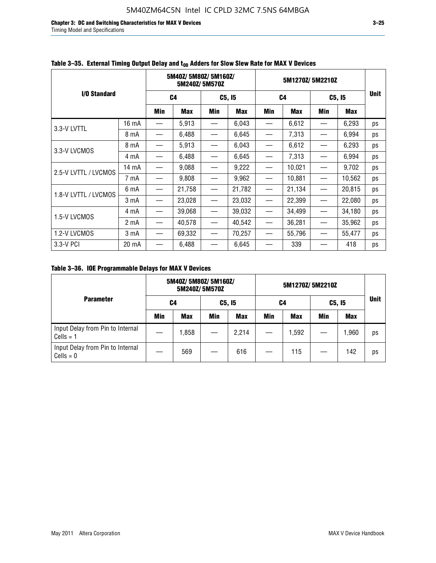**Chapter 3: DC and Switching Characteristics for MAX V Devices 3–25** Timing Model and Specifications

|                      |       |                          |            | 5M240Z/5M570Z                 | 5M40Z/5M80Z/5M160Z/ |                   |            | 5M1270Z/5M2210Z |        |             |
|----------------------|-------|--------------------------|------------|-------------------------------|---------------------|-------------------|------------|-----------------|--------|-------------|
| I/O Standard         |       | C4                       |            |                               | C5, I5              | C <sub>4</sub>    |            | C5, I5          |        | <b>Unit</b> |
|                      |       | Min                      | <b>Max</b> | Min                           | <b>Max</b>          | Min               | <b>Max</b> | Min             | Max    |             |
| 3.3-V LVTTL          | 16 mA |                          | 5,913      |                               | 6,043               |                   | 6,612      |                 | 6,293  | ps          |
|                      | 8 mA  |                          | 6,488      |                               | 6,645               |                   | 7,313      |                 | 6,994  | ps          |
| 3.3-V LVCMOS         | 8 mA  |                          | 5,913      |                               | 6,043               |                   | 6,612      |                 | 6,293  | ps          |
|                      | 4 mA  | —                        | 6,488      |                               | 6,645               |                   | 7,313      |                 | 6,994  | ps          |
| 2.5-V LVTTL / LVCMOS | 14 mA |                          | 9,088      |                               | 9,222               |                   | 10,021     |                 | 9,702  | ps          |
|                      | 7 mA  |                          | 9,808      |                               | 9,962               |                   | 10,881     |                 | 10,562 | ps          |
| 1.8-V LVTTL / LVCMOS | 6 mA  | $\overline{\phantom{0}}$ | 21,758     |                               | 21,782              |                   | 21,134     |                 | 20,815 | ps          |
|                      | 3 mA  |                          | 23,028     | $\overbrace{\phantom{13333}}$ | 23,032              |                   | 22,399     |                 | 22,080 | ps          |
| 1.5-V LVCMOS         | 4 mA  | $\overline{\phantom{0}}$ | 39,068     | $\overline{\phantom{m}}$      | 39,032              |                   | 34,499     |                 | 34,180 | ps          |
|                      | 2 mA  |                          | 40,578     |                               | 40,542              |                   | 36,281     |                 | 35,962 | ps          |
| 1.2-V LVCMOS         | 3 mA  | $\overline{\phantom{0}}$ | 69,332     | $\overline{\phantom{m}}$      | 70,257              | $\hspace{0.05cm}$ | 55,796     |                 | 55,477 | ps          |
| 3.3-V PCI            | 20 mA |                          | 6,488      |                               | 6,645               |                   | 339        |                 | 418    | ps          |

### Table 3–35. External Timing Output Delay and t<sub>on</sub> Adders for Slow Slew Rate for MAX V Devices

**Table 3–36. IOE Programmable Delays for MAX V Devices**

|                                                 | 5M40Z/5M80Z/5M160Z/<br>5M240Z/5M570Z |            |        |            | 5M1270Z/5M2210Z |            |        |            |             |
|-------------------------------------------------|--------------------------------------|------------|--------|------------|-----------------|------------|--------|------------|-------------|
| <b>Parameter</b>                                | C4                                   |            | C5, I5 |            | C4              |            | C5, I5 |            | <b>Unit</b> |
|                                                 | Min                                  | <b>Max</b> | Min    | <b>Max</b> | Min             | <b>Max</b> | Min    | <b>Max</b> |             |
| Input Delay from Pin to Internal<br>$Cells = 1$ |                                      | 1,858      |        | 2,214      |                 | 1,592      |        | 1,960      | ps          |
| Input Delay from Pin to Internal<br>$Cells = 0$ |                                      | 569        |        | 616        |                 | 115        |        | 142        | ps          |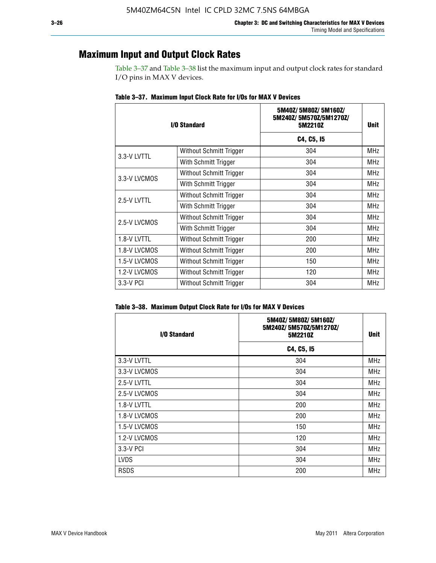### **Maximum Input and Output Clock Rates**

Table 3–37 and Table 3–38 list the maximum input and output clock rates for standard I/O pins in MAX V devices.

| I/O Standard |                         | 5M40Z/5M80Z/5M160Z/<br>5M240Z/5M570Z/5M1270Z/<br>5M2210Z | Unit       |
|--------------|-------------------------|----------------------------------------------------------|------------|
|              |                         | C4, C5, I5                                               |            |
| 3.3-V LVTTL  | Without Schmitt Trigger | 304                                                      | <b>MHz</b> |
|              | With Schmitt Trigger    | 304                                                      | <b>MHz</b> |
| 3.3-V LVCMOS | Without Schmitt Trigger | 304                                                      | MHz        |
|              | With Schmitt Trigger    | 304                                                      | MHz        |
| 2.5-V LVTTL  | Without Schmitt Trigger | 304                                                      | <b>MHz</b> |
|              | With Schmitt Trigger    | 304                                                      | MHz        |
| 2.5-V LVCMOS | Without Schmitt Trigger | 304                                                      | <b>MHz</b> |
|              | With Schmitt Trigger    | 304                                                      | MHz        |
| 1.8-V LVTTL  | Without Schmitt Trigger | 200                                                      | MHz        |
| 1.8-V LVCMOS | Without Schmitt Trigger | 200                                                      | <b>MHz</b> |
| 1.5-V LVCMOS | Without Schmitt Trigger | 150                                                      | MHz        |
| 1.2-V LVCMOS | Without Schmitt Trigger | 120                                                      | MHz        |
| 3.3-V PCI    | Without Schmitt Trigger | 304                                                      | <b>MHz</b> |

**Table 3–37. Maximum Input Clock Rate for I/Os for MAX V Devices**

| Table 3–38. Maximum Output Clock Rate for I/Os for MAX V Devices |  |  |  |  |  |  |  |  |  |  |
|------------------------------------------------------------------|--|--|--|--|--|--|--|--|--|--|
|------------------------------------------------------------------|--|--|--|--|--|--|--|--|--|--|

| I/O Standard | 5M40Z/5M80Z/5M160Z/<br>5M240Z/5M570Z/5M1270Z/<br>5M2210Z | <b>Unit</b> |
|--------------|----------------------------------------------------------|-------------|
|              | C4, C5, I5                                               |             |
| 3.3-V LVTTL  | 304                                                      | <b>MHz</b>  |
| 3.3-V LVCMOS | 304                                                      | <b>MHz</b>  |
| 2.5-V LVTTL  | 304                                                      | MHz         |
| 2.5-V LVCMOS | 304                                                      | <b>MHz</b>  |
| 1.8-V LVTTL  | 200                                                      | MHz         |
| 1.8-V LVCMOS | 200                                                      | MHz         |
| 1.5-V LVCMOS | 150                                                      | <b>MHz</b>  |
| 1.2-V LVCMOS | 120                                                      | <b>MHz</b>  |
| 3.3-V PCI    | 304                                                      | <b>MHz</b>  |
| <b>LVDS</b>  | 304                                                      | MHz         |
| <b>RSDS</b>  | 200                                                      | <b>MHz</b>  |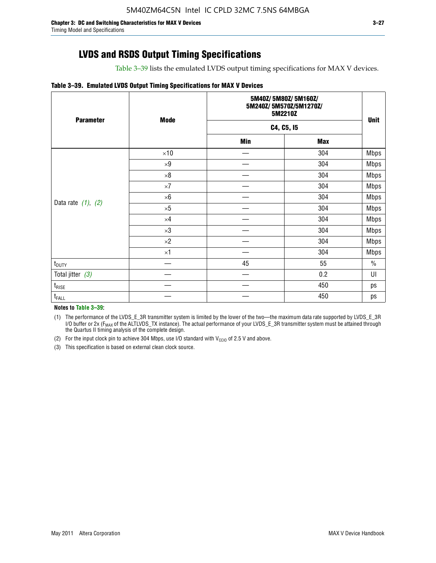Table 3–39 lists the emulated LVDS output timing specifications for MAX V devices.

#### **Table 3–39. Emulated LVDS Output Timing Specifications for MAX V Devices**

| <b>Parameter</b>        | <b>Mode</b> |     | 5M40Z/5M80Z/5M160Z/<br>5M240Z/5M570Z/5M1270Z/<br>5M2210Z |             |  |
|-------------------------|-------------|-----|----------------------------------------------------------|-------------|--|
|                         |             |     | C4, C5, I5                                               | <b>Unit</b> |  |
|                         |             | Min | <b>Max</b>                                               |             |  |
|                         | $\times 10$ |     | 304                                                      | <b>Mbps</b> |  |
|                         | $\times 9$  |     | 304                                                      | Mbps        |  |
|                         | $\times 8$  |     | 304                                                      | <b>Mbps</b> |  |
|                         | $\times 7$  |     | 304                                                      | <b>Mbps</b> |  |
|                         | $\times 6$  |     | 304                                                      | <b>Mbps</b> |  |
| Data rate $(1)$ , $(2)$ | $\times 5$  |     | 304                                                      | <b>Mbps</b> |  |
|                         | $\times 4$  |     | 304                                                      | <b>Mbps</b> |  |
|                         | $\times 3$  |     | 304                                                      | <b>Mbps</b> |  |
|                         | $\times 2$  |     | 304                                                      | <b>Mbps</b> |  |
|                         | $\times$ 1  |     | 304                                                      | <b>Mbps</b> |  |
| $t_{\text{DUTY}}$       |             | 45  | 55                                                       | $\%$        |  |
| Total jitter $(3)$      |             |     | 0.2                                                      | UI          |  |
| $t_{\text{RISE}}$       |             |     | 450                                                      | ps          |  |
| $t_{FALL}$              |             |     | 450                                                      | ps          |  |

**Notes to Table 3–39:**

(1) The performance of the LVDS\_E\_3R transmitter system is limited by the lower of the two—the maximum data rate supported by LVDS\_E\_3R I/O buffer or 2x (F<sub>MAX</sub> of the ALTLVDS\_TX instance). The actual performance of your LVDS\_E\_3R transmitter system must be attained through the Quartus II timing analysis of the complete design.

(2) For the input clock pin to achieve 304 Mbps, use I/O standard with  $V_{\text{CCIO}}$  of 2.5 V and above.

(3) This specification is based on external clean clock source.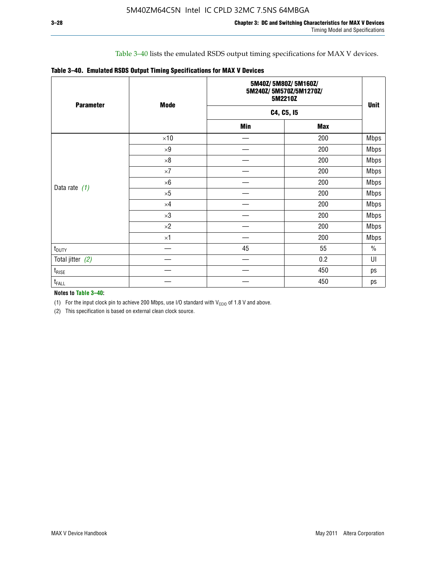### Table 3–40 lists the emulated RSDS output timing specifications for MAX V devices.

|  |  |  |  | Table 3-40. Emulated RSDS Output Timing Specifications for MAX V Devices |
|--|--|--|--|--------------------------------------------------------------------------|
|--|--|--|--|--------------------------------------------------------------------------|

| <b>Parameter</b>  | <b>Mode</b> |            | 5M40Z/5M80Z/5M160Z/<br>5M240Z/5M570Z/5M1270Z/<br>5M2210Z |             |  |  |
|-------------------|-------------|------------|----------------------------------------------------------|-------------|--|--|
|                   |             |            | C4, C5, I5                                               | <b>Unit</b> |  |  |
|                   |             | <b>Min</b> | <b>Max</b>                                               |             |  |  |
|                   | $\times 10$ |            | 200                                                      | <b>Mbps</b> |  |  |
|                   | $\times 9$  |            | 200                                                      | <b>Mbps</b> |  |  |
|                   | $\times 8$  |            | 200                                                      | <b>Mbps</b> |  |  |
|                   | $\times 7$  |            | 200                                                      | Mbps        |  |  |
|                   | $\times 6$  |            | 200                                                      | <b>Mbps</b> |  |  |
| Data rate $(1)$   | $\times 5$  |            | 200                                                      | <b>Mbps</b> |  |  |
|                   | $\times 4$  |            | 200                                                      | <b>Mbps</b> |  |  |
|                   | $\times 3$  |            | 200                                                      | <b>Mbps</b> |  |  |
|                   | $\times 2$  |            | 200                                                      | <b>Mbps</b> |  |  |
|                   | $\times1$   |            | 200                                                      | <b>Mbps</b> |  |  |
| $t_{\text{DUTY}}$ |             | 45         | 55                                                       | $\%$        |  |  |
| Total jitter (2)  |             |            | 0.2                                                      | UI          |  |  |
| $t_{\rm RISE}$    |             |            | 450                                                      | ps          |  |  |
| $t_{FALL}$        |             |            | 450                                                      | ps          |  |  |

**Notes to Table 3–40:**

(1) For the input clock pin to achieve 200 Mbps, use I/O standard with  $V_{\text{CCIO}}$  of 1.8 V and above.

(2) This specification is based on external clean clock source.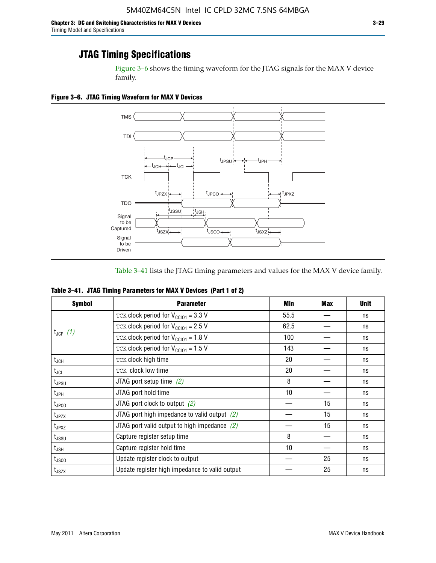Figure 3–6 shows the timing waveform for the JTAG signals for the MAX V device family.

**Figure 3–6. JTAG Timing Waveform for MAX V Devices**



Table 3–41 lists the JTAG timing parameters and values for the MAX V device family.

| Table 3-41. JTAG Timing Parameters for MAX V Devices (Part 1 of 2) |  |  |  |
|--------------------------------------------------------------------|--|--|--|
|                                                                    |  |  |  |

| <b>Symbol</b>     | <b>Parameter</b>                                | Min             | <b>Max</b> | <b>Unit</b> |
|-------------------|-------------------------------------------------|-----------------|------------|-------------|
|                   | TCK clock period for $V_{CCIO1} = 3.3 V$        | 55.5            |            | ns          |
|                   | TCK clock period for $V_{\text{CC101}} = 2.5$ V | 62.5            |            | ns          |
| $t_{JCP}$ (1)     | TCK clock period for $V_{CC101} = 1.8 V$        | 100             |            | ns          |
|                   | TCK clock period for $V_{CC101} = 1.5 V$        | 143             |            | ns          |
| $t_{JCH}$         | TCK clock high time                             | 20              |            | ns          |
| $t_{\sf JCL}$     | TCK clock low time                              | 20              |            | ns          |
| t <sub>JPSU</sub> | JTAG port setup time $(2)$                      | 8               |            | ns          |
| t <sub>JPH</sub>  | JTAG port hold time                             | 10 <sup>1</sup> |            | ns          |
| $t_{\text{JPCO}}$ | JTAG port clock to output $(2)$                 |                 | 15         | ns          |
| $t_{JPZX}$        | JTAG port high impedance to valid output $(2)$  |                 | 15         | ns          |
| $t_{JPXZ}$        | JTAG port valid output to high impedance $(2)$  |                 | 15         | ns          |
| t <sub>JSSU</sub> | Capture register setup time                     | 8               |            | ns          |
| t <sub>JSH</sub>  | Capture register hold time                      | 10              |            | ns          |
| t <sub>usco</sub> | Update register clock to output                 |                 | 25         | ns          |
| $t_{\text{JSZX}}$ | Update register high impedance to valid output  |                 | 25         | ns          |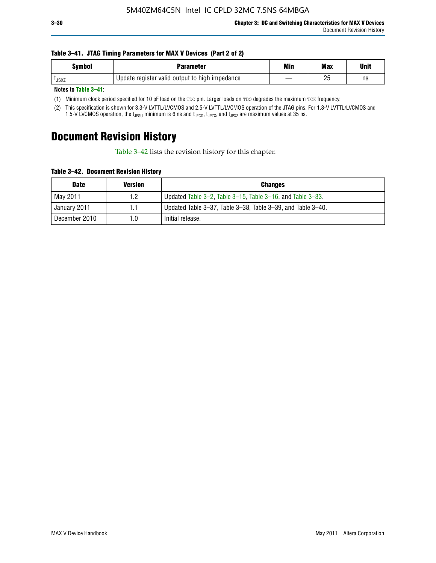#### **Table 3–41. JTAG Timing Parameters for MAX V Devices (Part 2 of 2)**

| <b>Symbol</b> | Parameter                                      | Min | <b>Max</b> | Unit |
|---------------|------------------------------------------------|-----|------------|------|
| <b>L</b> JSXZ | Update register valid output to high impedance |     | りに<br>۷J   | ns   |

**Notes to Table 3–41:**

(1) Minimum clock period specified for 10 pF load on the TDO pin. Larger loads on TDO degrades the maximum TCK frequency.

(2) This specification is shown for 3.3-V LVTTL/LVCMOS and 2.5-V LVTTL/LVCMOS operation of the JTAG pins. For 1.8-V LVTTL/LVCMOS and 1.5-V LVCMOS operation, the t<sub>JPSU</sub> minimum is 6 ns and t<sub>JPCO</sub>, t<sub>JPZX</sub>, and t<sub>JPXZ</sub> are maximum values at 35 ns.

# **Document Revision History**

Table 3–42 lists the revision history for this chapter.

**Table 3–42. Document Revision History**

| <b>Date</b>   | <b>Version</b> | <b>Changes</b>                                              |
|---------------|----------------|-------------------------------------------------------------|
| May 2011      | 1.2            | Updated Table 3–2, Table 3–15, Table 3–16, and Table 3–33.  |
| January 2011  | 1.1            | Updated Table 3–37, Table 3–38, Table 3–39, and Table 3–40. |
| December 2010 | 1.0            | Initial release.                                            |